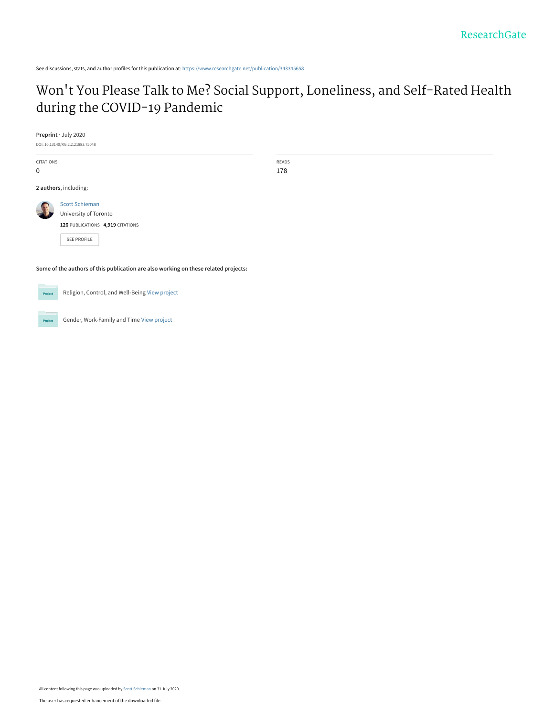# Won['t You Please Talk to Me? Social Support, Loneliness, and Self-Rated Health](https://www.researchgate.net/publication/343345658_Won%27t_You_Please_Talk_to_Me_Social_Support_Loneliness_and_Self-Rated_Health_during_the_COVID-19_Pandemic?enrichId=rgreq-80229805e37efb7f6407cda9e8fae124-XXX&enrichSource=Y292ZXJQYWdlOzM0MzM0NTY1ODtBUzo5MTkzODkyMzA1OTYwOTZAMTU5NjIxMDg4MjQ0MQ%3D%3D&el=1_x_3&_esc=publicationCoverPdf) during the COVID-19 Pandemic

READS 178

**Preprint** · July 2020

DOI: 10.13140/RG.2.2.21883.75048

CITATIONS 0 **2 authors**, including: [Scott Schieman](https://www.researchgate.net/profile/Scott_Schieman?enrichId=rgreq-80229805e37efb7f6407cda9e8fae124-XXX&enrichSource=Y292ZXJQYWdlOzM0MzM0NTY1ODtBUzo5MTkzODkyMzA1OTYwOTZAMTU5NjIxMDg4MjQ0MQ%3D%3D&el=1_x_5&_esc=publicationCoverPdf) [University of Toronto](https://www.researchgate.net/institution/University_of_Toronto?enrichId=rgreq-80229805e37efb7f6407cda9e8fae124-XXX&enrichSource=Y292ZXJQYWdlOzM0MzM0NTY1ODtBUzo5MTkzODkyMzA1OTYwOTZAMTU5NjIxMDg4MjQ0MQ%3D%3D&el=1_x_6&_esc=publicationCoverPdf)

**126** PUBLICATIONS **4,919** CITATIONS

[SEE PROFILE](https://www.researchgate.net/profile/Scott_Schieman?enrichId=rgreq-80229805e37efb7f6407cda9e8fae124-XXX&enrichSource=Y292ZXJQYWdlOzM0MzM0NTY1ODtBUzo5MTkzODkyMzA1OTYwOTZAMTU5NjIxMDg4MjQ0MQ%3D%3D&el=1_x_7&_esc=publicationCoverPdf)

**Some of the authors of this publication are also working on these related projects:**

Project

Project

Religion, Control, and Well-Being [View project](https://www.researchgate.net/project/Religion-Control-and-Well-Being?enrichId=rgreq-80229805e37efb7f6407cda9e8fae124-XXX&enrichSource=Y292ZXJQYWdlOzM0MzM0NTY1ODtBUzo5MTkzODkyMzA1OTYwOTZAMTU5NjIxMDg4MjQ0MQ%3D%3D&el=1_x_9&_esc=publicationCoverPdf)

Gender, Work-Family and Time [View project](https://www.researchgate.net/project/Gender-Work-Family-and-Time?enrichId=rgreq-80229805e37efb7f6407cda9e8fae124-XXX&enrichSource=Y292ZXJQYWdlOzM0MzM0NTY1ODtBUzo5MTkzODkyMzA1OTYwOTZAMTU5NjIxMDg4MjQ0MQ%3D%3D&el=1_x_9&_esc=publicationCoverPdf)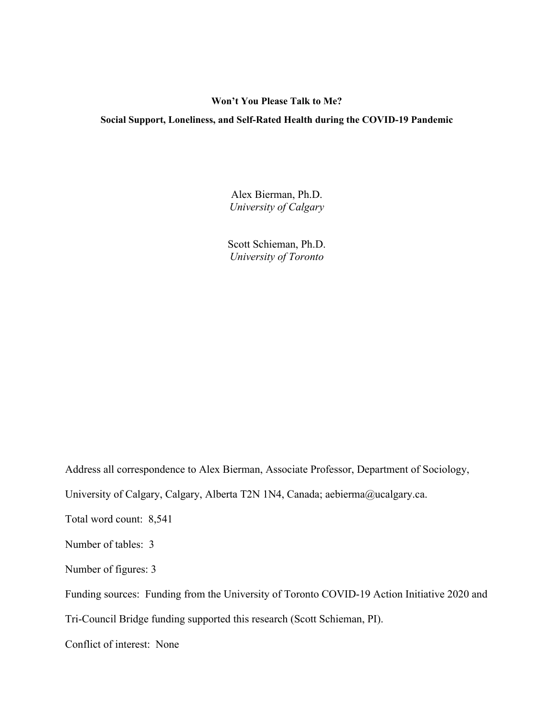# **Won't You Please Talk to Me?**

# **Social Support, Loneliness, and Self-Rated Health during the COVID-19 Pandemic**

Alex Bierman, Ph.D. *University of Calgary* 

Scott Schieman, Ph.D. *University of Toronto* 

Address all correspondence to Alex Bierman, Associate Professor, Department of Sociology,

University of Calgary, Calgary, Alberta T2N 1N4, Canada; aebierma@ucalgary.ca.

Total word count: 8,541

Number of tables: 3

Number of figures: 3

Funding sources: Funding from the University of Toronto COVID-19 Action Initiative 2020 and

Tri-Council Bridge funding supported this research (Scott Schieman, PI).

Conflict of interest: None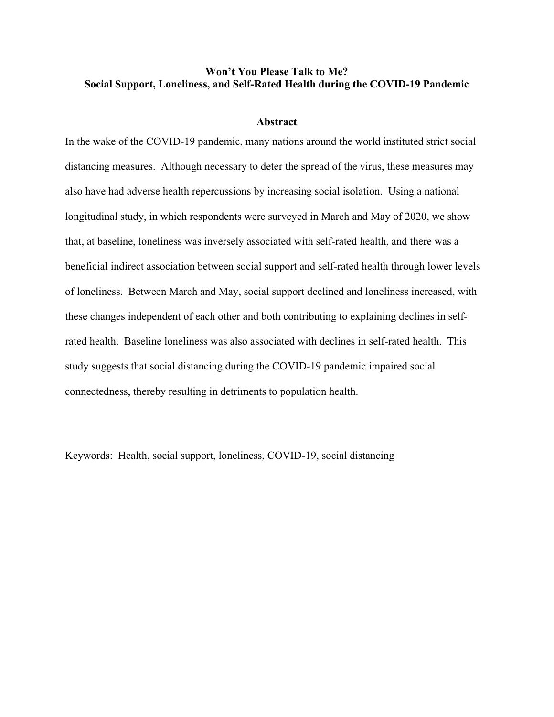# **Won't You Please Talk to Me? Social Support, Loneliness, and Self-Rated Health during the COVID-19 Pandemic**

## **Abstract**

In the wake of the COVID-19 pandemic, many nations around the world instituted strict social distancing measures. Although necessary to deter the spread of the virus, these measures may also have had adverse health repercussions by increasing social isolation. Using a national longitudinal study, in which respondents were surveyed in March and May of 2020, we show that, at baseline, loneliness was inversely associated with self-rated health, and there was a beneficial indirect association between social support and self-rated health through lower levels of loneliness. Between March and May, social support declined and loneliness increased, with these changes independent of each other and both contributing to explaining declines in selfrated health. Baseline loneliness was also associated with declines in self-rated health. This study suggests that social distancing during the COVID-19 pandemic impaired social connectedness, thereby resulting in detriments to population health.

Keywords: Health, social support, loneliness, COVID-19, social distancing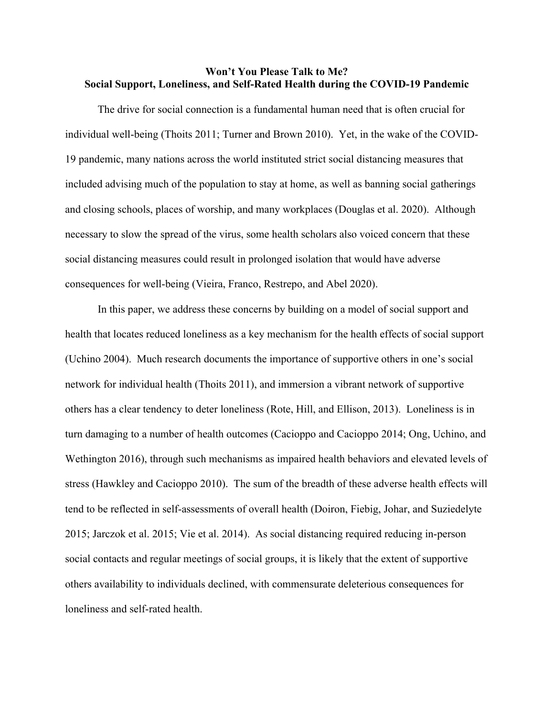# **Won't You Please Talk to Me? Social Support, Loneliness, and Self-Rated Health during the COVID-19 Pandemic**

 The drive for social connection is a fundamental human need that is often crucial for individual well-being (Thoits 2011; Turner and Brown 2010). Yet, in the wake of the COVID-19 pandemic, many nations across the world instituted strict social distancing measures that included advising much of the population to stay at home, as well as banning social gatherings and closing schools, places of worship, and many workplaces (Douglas et al. 2020). Although necessary to slow the spread of the virus, some health scholars also voiced concern that these social distancing measures could result in prolonged isolation that would have adverse consequences for well-being (Vieira, Franco, Restrepo, and Abel 2020).

 In this paper, we address these concerns by building on a model of social support and health that locates reduced loneliness as a key mechanism for the health effects of social support (Uchino 2004). Much research documents the importance of supportive others in one's social network for individual health (Thoits 2011), and immersion a vibrant network of supportive others has a clear tendency to deter loneliness (Rote, Hill, and Ellison, 2013). Loneliness is in turn damaging to a number of health outcomes (Cacioppo and Cacioppo 2014; Ong, Uchino, and Wethington 2016), through such mechanisms as impaired health behaviors and elevated levels of stress (Hawkley and Cacioppo 2010). The sum of the breadth of these adverse health effects will tend to be reflected in self-assessments of overall health (Doiron, Fiebig, Johar, and Suziedelyte 2015; Jarczok et al. 2015; Vie et al. 2014). As social distancing required reducing in-person social contacts and regular meetings of social groups, it is likely that the extent of supportive others availability to individuals declined, with commensurate deleterious consequences for loneliness and self-rated health.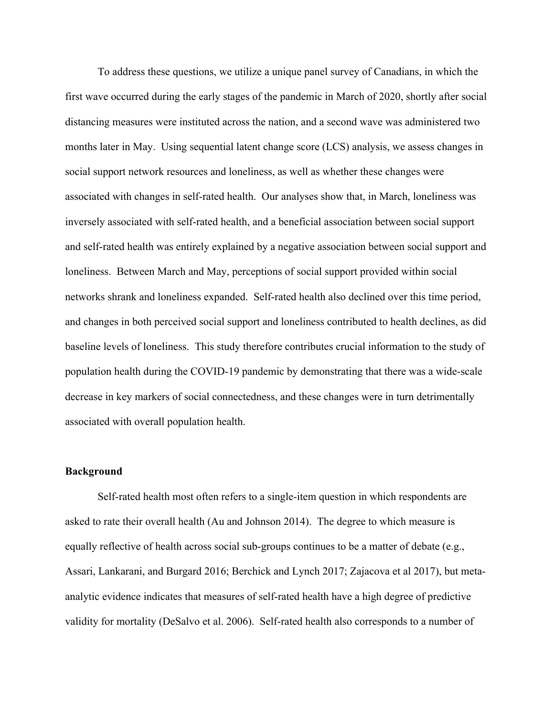To address these questions, we utilize a unique panel survey of Canadians, in which the first wave occurred during the early stages of the pandemic in March of 2020, shortly after social distancing measures were instituted across the nation, and a second wave was administered two months later in May. Using sequential latent change score (LCS) analysis, we assess changes in social support network resources and loneliness, as well as whether these changes were associated with changes in self-rated health. Our analyses show that, in March, loneliness was inversely associated with self-rated health, and a beneficial association between social support and self-rated health was entirely explained by a negative association between social support and loneliness. Between March and May, perceptions of social support provided within social networks shrank and loneliness expanded. Self-rated health also declined over this time period, and changes in both perceived social support and loneliness contributed to health declines, as did baseline levels of loneliness. This study therefore contributes crucial information to the study of population health during the COVID-19 pandemic by demonstrating that there was a wide-scale decrease in key markers of social connectedness, and these changes were in turn detrimentally associated with overall population health.

# **Background**

 Self-rated health most often refers to a single-item question in which respondents are asked to rate their overall health (Au and Johnson 2014). The degree to which measure is equally reflective of health across social sub-groups continues to be a matter of debate (e.g., Assari, Lankarani, and Burgard 2016; Berchick and Lynch 2017; Zajacova et al 2017), but metaanalytic evidence indicates that measures of self-rated health have a high degree of predictive validity for mortality (DeSalvo et al. 2006). Self-rated health also corresponds to a number of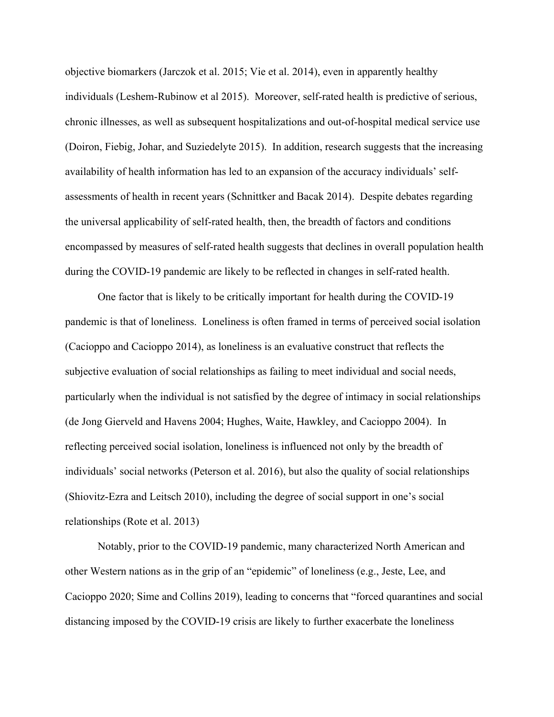objective biomarkers (Jarczok et al. 2015; Vie et al. 2014), even in apparently healthy individuals (Leshem-Rubinow et al 2015). Moreover, self-rated health is predictive of serious, chronic illnesses, as well as subsequent hospitalizations and out-of-hospital medical service use (Doiron, Fiebig, Johar, and Suziedelyte 2015). In addition, research suggests that the increasing availability of health information has led to an expansion of the accuracy individuals' selfassessments of health in recent years (Schnittker and Bacak 2014). Despite debates regarding the universal applicability of self-rated health, then, the breadth of factors and conditions encompassed by measures of self-rated health suggests that declines in overall population health during the COVID-19 pandemic are likely to be reflected in changes in self-rated health.

 One factor that is likely to be critically important for health during the COVID-19 pandemic is that of loneliness. Loneliness is often framed in terms of perceived social isolation (Cacioppo and Cacioppo 2014), as loneliness is an evaluative construct that reflects the subjective evaluation of social relationships as failing to meet individual and social needs, particularly when the individual is not satisfied by the degree of intimacy in social relationships (de Jong Gierveld and Havens 2004; Hughes, Waite, Hawkley, and Cacioppo 2004). In reflecting perceived social isolation, loneliness is influenced not only by the breadth of individuals' social networks (Peterson et al. 2016), but also the quality of social relationships (Shiovitz-Ezra and Leitsch 2010), including the degree of social support in one's social relationships (Rote et al. 2013)

 Notably, prior to the COVID-19 pandemic, many characterized North American and other Western nations as in the grip of an "epidemic" of loneliness (e.g., Jeste, Lee, and Cacioppo 2020; Sime and Collins 2019), leading to concerns that "forced quarantines and social distancing imposed by the COVID-19 crisis are likely to further exacerbate the loneliness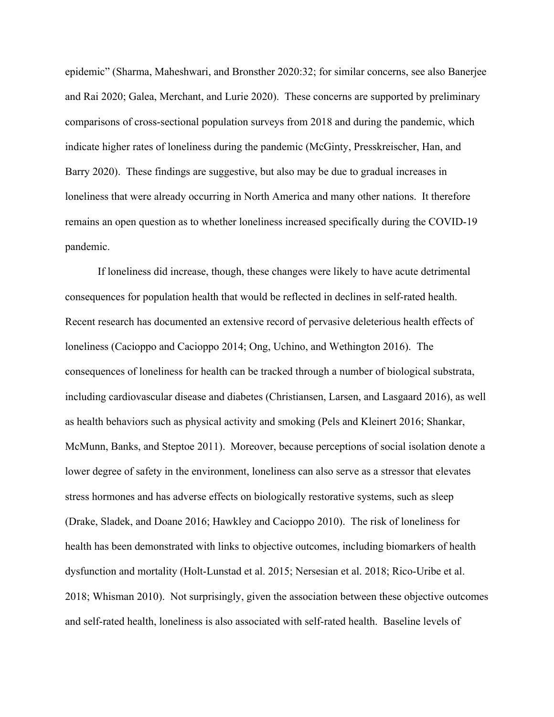epidemic" (Sharma, Maheshwari, and Bronsther 2020:32; for similar concerns, see also Banerjee and Rai 2020; Galea, Merchant, and Lurie 2020). These concerns are supported by preliminary comparisons of cross-sectional population surveys from 2018 and during the pandemic, which indicate higher rates of loneliness during the pandemic (McGinty, Presskreischer, Han, and Barry 2020). These findings are suggestive, but also may be due to gradual increases in loneliness that were already occurring in North America and many other nations. It therefore remains an open question as to whether loneliness increased specifically during the COVID-19 pandemic.

 If loneliness did increase, though, these changes were likely to have acute detrimental consequences for population health that would be reflected in declines in self-rated health. Recent research has documented an extensive record of pervasive deleterious health effects of loneliness (Cacioppo and Cacioppo 2014; Ong, Uchino, and Wethington 2016). The consequences of loneliness for health can be tracked through a number of biological substrata, including cardiovascular disease and diabetes (Christiansen, Larsen, and Lasgaard 2016), as well as health behaviors such as physical activity and smoking (Pels and Kleinert 2016; Shankar, McMunn, Banks, and Steptoe 2011). Moreover, because perceptions of social isolation denote a lower degree of safety in the environment, loneliness can also serve as a stressor that elevates stress hormones and has adverse effects on biologically restorative systems, such as sleep (Drake, Sladek, and Doane 2016; Hawkley and Cacioppo 2010). The risk of loneliness for health has been demonstrated with links to objective outcomes, including biomarkers of health dysfunction and mortality (Holt-Lunstad et al. 2015; Nersesian et al. 2018; Rico-Uribe et al. 2018; Whisman 2010). Not surprisingly, given the association between these objective outcomes and self-rated health, loneliness is also associated with self-rated health. Baseline levels of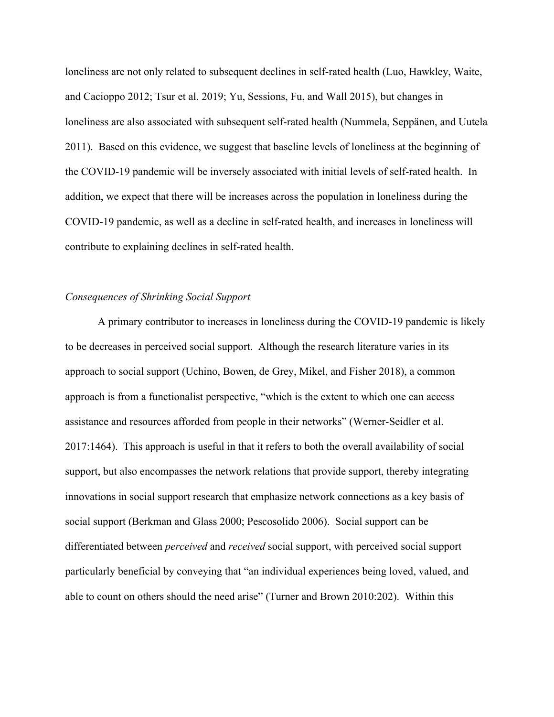loneliness are not only related to subsequent declines in self-rated health (Luo, Hawkley, Waite, and Cacioppo 2012; Tsur et al. 2019; Yu, Sessions, Fu, and Wall 2015), but changes in loneliness are also associated with subsequent self-rated health (Nummela, Seppänen, and Uutela 2011). Based on this evidence, we suggest that baseline levels of loneliness at the beginning of the COVID-19 pandemic will be inversely associated with initial levels of self-rated health. In addition, we expect that there will be increases across the population in loneliness during the COVID-19 pandemic, as well as a decline in self-rated health, and increases in loneliness will contribute to explaining declines in self-rated health.

## *Consequences of Shrinking Social Support*

 A primary contributor to increases in loneliness during the COVID-19 pandemic is likely to be decreases in perceived social support. Although the research literature varies in its approach to social support (Uchino, Bowen, de Grey, Mikel, and Fisher 2018), a common approach is from a functionalist perspective, "which is the extent to which one can access assistance and resources afforded from people in their networks" (Werner-Seidler et al. 2017:1464). This approach is useful in that it refers to both the overall availability of social support, but also encompasses the network relations that provide support, thereby integrating innovations in social support research that emphasize network connections as a key basis of social support (Berkman and Glass 2000; Pescosolido 2006). Social support can be differentiated between *perceived* and *received* social support, with perceived social support particularly beneficial by conveying that "an individual experiences being loved, valued, and able to count on others should the need arise" (Turner and Brown 2010:202). Within this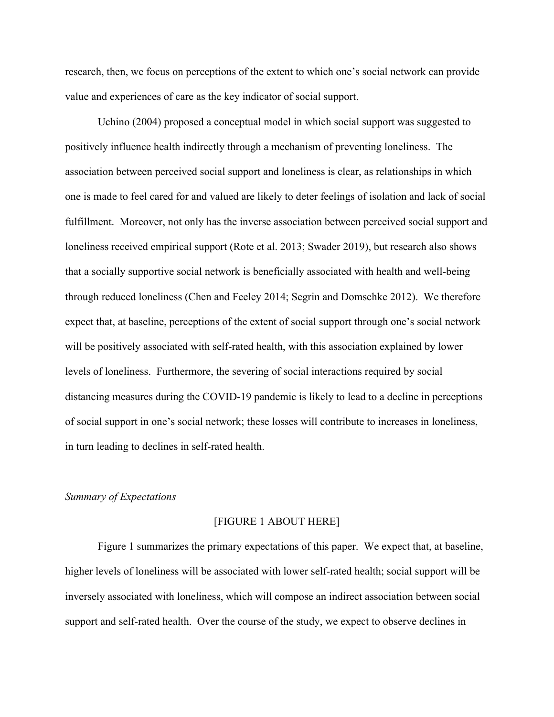research, then, we focus on perceptions of the extent to which one's social network can provide value and experiences of care as the key indicator of social support.

 Uchino (2004) proposed a conceptual model in which social support was suggested to positively influence health indirectly through a mechanism of preventing loneliness. The association between perceived social support and loneliness is clear, as relationships in which one is made to feel cared for and valued are likely to deter feelings of isolation and lack of social fulfillment. Moreover, not only has the inverse association between perceived social support and loneliness received empirical support (Rote et al. 2013; Swader 2019), but research also shows that a socially supportive social network is beneficially associated with health and well-being through reduced loneliness (Chen and Feeley 2014; Segrin and Domschke 2012). We therefore expect that, at baseline, perceptions of the extent of social support through one's social network will be positively associated with self-rated health, with this association explained by lower levels of loneliness. Furthermore, the severing of social interactions required by social distancing measures during the COVID-19 pandemic is likely to lead to a decline in perceptions of social support in one's social network; these losses will contribute to increases in loneliness, in turn leading to declines in self-rated health.

# *Summary of Expectations*

#### [FIGURE 1 ABOUT HERE]

 Figure 1 summarizes the primary expectations of this paper. We expect that, at baseline, higher levels of loneliness will be associated with lower self-rated health; social support will be inversely associated with loneliness, which will compose an indirect association between social support and self-rated health. Over the course of the study, we expect to observe declines in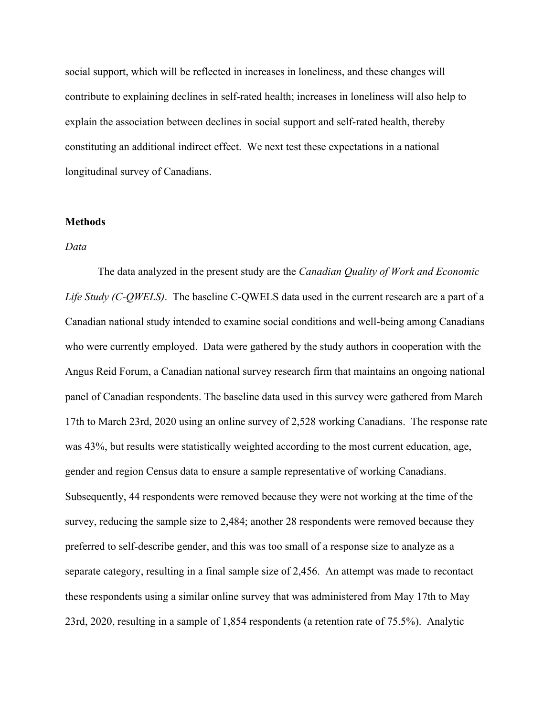social support, which will be reflected in increases in loneliness, and these changes will contribute to explaining declines in self-rated health; increases in loneliness will also help to explain the association between declines in social support and self-rated health, thereby constituting an additional indirect effect. We next test these expectations in a national longitudinal survey of Canadians.

## **Methods**

## *Data*

 The data analyzed in the present study are the *Canadian Quality of Work and Economic Life Study (C-QWELS)*. The baseline C-QWELS data used in the current research are a part of a Canadian national study intended to examine social conditions and well-being among Canadians who were currently employed. Data were gathered by the study authors in cooperation with the Angus Reid Forum, a Canadian national survey research firm that maintains an ongoing national panel of Canadian respondents. The baseline data used in this survey were gathered from March 17th to March 23rd, 2020 using an online survey of 2,528 working Canadians. The response rate was 43%, but results were statistically weighted according to the most current education, age, gender and region Census data to ensure a sample representative of working Canadians. Subsequently, 44 respondents were removed because they were not working at the time of the survey, reducing the sample size to 2,484; another 28 respondents were removed because they preferred to self-describe gender, and this was too small of a response size to analyze as a separate category, resulting in a final sample size of 2,456. An attempt was made to recontact these respondents using a similar online survey that was administered from May 17th to May 23rd, 2020, resulting in a sample of 1,854 respondents (a retention rate of 75.5%). Analytic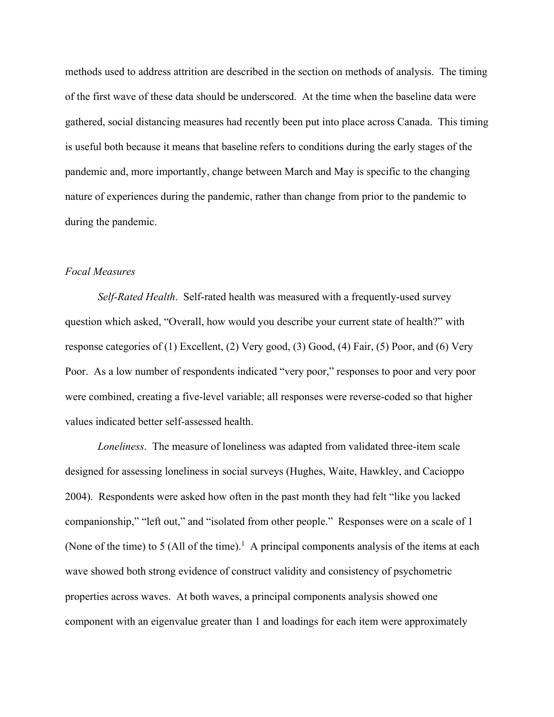methods used to address attrition are described in the section on methods of analysis. The timing of the first wave of these data should be underscored. At the time when the baseline data were gathered, social distancing measures had recently been put into place across Canada. This timing is useful both because it means that baseline refers to conditions during the early stages of the pandemic and, more importantly, change between March and May is specific to the changing nature of experiences during the pandemic, rather than change from prior to the pandemic to during the pandemic.

# *Focal Measures*

*Self-Rated Health*. Self-rated health was measured with a frequently-used survey question which asked, "Overall, how would you describe your current state of health?" with response categories of (1) Excellent, (2) Very good, (3) Good, (4) Fair, (5) Poor, and (6) Very Poor. As a low number of respondents indicated "very poor," responses to poor and very poor were combined, creating a five-level variable; all responses were reverse-coded so that higher values indicated better self-assessed health.

*Loneliness*. The measure of loneliness was adapted from validated three-item scale designed for assessing loneliness in social surveys (Hughes, Waite, Hawkley, and Cacioppo 2004). Respondents were asked how often in the past month they had felt "like you lacked companionship," "left out," and "isolated from other people." Responses were on a scale of 1 (None of the time) to 5 (All of the time).<sup>1</sup> A principal components analysis of the items at each wave showed both strong evidence of construct validity and consistency of psychometric properties across waves. At both waves, a principal components analysis showed one component with an eigenvalue greater than 1 and loadings for each item were approximately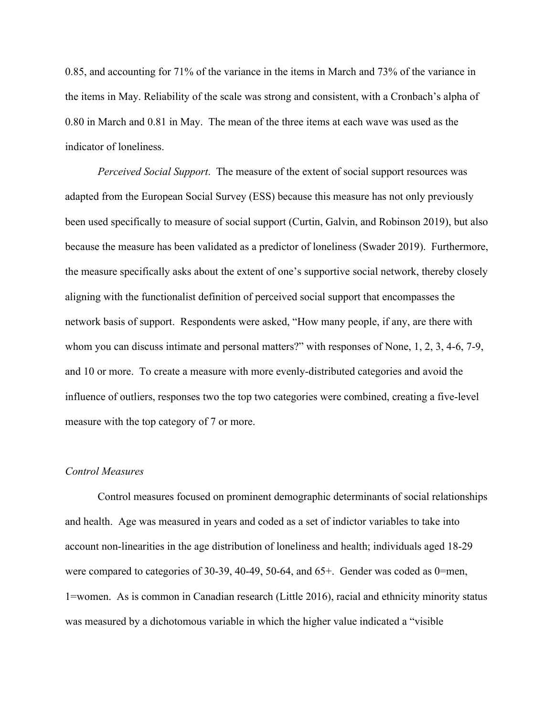0.85, and accounting for 71% of the variance in the items in March and 73% of the variance in the items in May. Reliability of the scale was strong and consistent, with a Cronbach's alpha of 0.80 in March and 0.81 in May. The mean of the three items at each wave was used as the indicator of loneliness.

*Perceived Social Support*. The measure of the extent of social support resources was adapted from the European Social Survey (ESS) because this measure has not only previously been used specifically to measure of social support (Curtin, Galvin, and Robinson 2019), but also because the measure has been validated as a predictor of loneliness (Swader 2019). Furthermore, the measure specifically asks about the extent of one's supportive social network, thereby closely aligning with the functionalist definition of perceived social support that encompasses the network basis of support. Respondents were asked, "How many people, if any, are there with whom you can discuss intimate and personal matters?" with responses of None, 1, 2, 3, 4-6, 7-9, and 10 or more. To create a measure with more evenly-distributed categories and avoid the influence of outliers, responses two the top two categories were combined, creating a five-level measure with the top category of 7 or more.

# *Control Measures*

 Control measures focused on prominent demographic determinants of social relationships and health. Age was measured in years and coded as a set of indictor variables to take into account non-linearities in the age distribution of loneliness and health; individuals aged 18-29 were compared to categories of 30-39, 40-49, 50-64, and 65+. Gender was coded as 0=men, 1=women. As is common in Canadian research (Little 2016), racial and ethnicity minority status was measured by a dichotomous variable in which the higher value indicated a "visible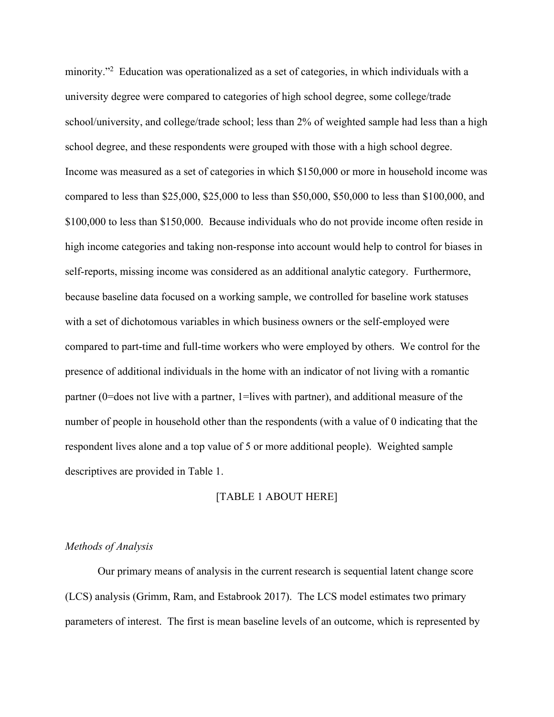minority."<sup>2</sup> Education was operationalized as a set of categories, in which individuals with a university degree were compared to categories of high school degree, some college/trade school/university, and college/trade school; less than 2% of weighted sample had less than a high school degree, and these respondents were grouped with those with a high school degree. Income was measured as a set of categories in which \$150,000 or more in household income was compared to less than \$25,000, \$25,000 to less than \$50,000, \$50,000 to less than \$100,000, and \$100,000 to less than \$150,000. Because individuals who do not provide income often reside in high income categories and taking non-response into account would help to control for biases in self-reports, missing income was considered as an additional analytic category. Furthermore, because baseline data focused on a working sample, we controlled for baseline work statuses with a set of dichotomous variables in which business owners or the self-employed were compared to part-time and full-time workers who were employed by others. We control for the presence of additional individuals in the home with an indicator of not living with a romantic partner (0=does not live with a partner, 1=lives with partner), and additional measure of the number of people in household other than the respondents (with a value of 0 indicating that the respondent lives alone and a top value of 5 or more additional people). Weighted sample descriptives are provided in Table 1.

#### [TABLE 1 ABOUT HERE]

#### *Methods of Analysis*

 Our primary means of analysis in the current research is sequential latent change score (LCS) analysis (Grimm, Ram, and Estabrook 2017). The LCS model estimates two primary parameters of interest. The first is mean baseline levels of an outcome, which is represented by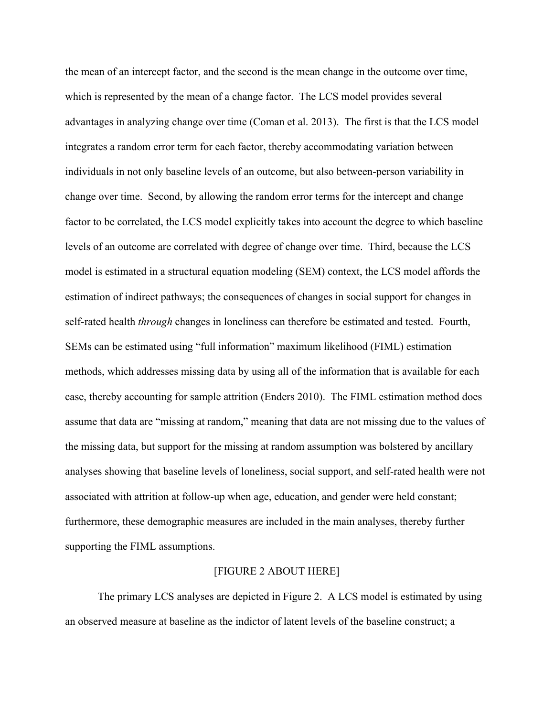the mean of an intercept factor, and the second is the mean change in the outcome over time, which is represented by the mean of a change factor. The LCS model provides several advantages in analyzing change over time (Coman et al. 2013). The first is that the LCS model integrates a random error term for each factor, thereby accommodating variation between individuals in not only baseline levels of an outcome, but also between-person variability in change over time. Second, by allowing the random error terms for the intercept and change factor to be correlated, the LCS model explicitly takes into account the degree to which baseline levels of an outcome are correlated with degree of change over time. Third, because the LCS model is estimated in a structural equation modeling (SEM) context, the LCS model affords the estimation of indirect pathways; the consequences of changes in social support for changes in self-rated health *through* changes in loneliness can therefore be estimated and tested. Fourth, SEMs can be estimated using "full information" maximum likelihood (FIML) estimation methods, which addresses missing data by using all of the information that is available for each case, thereby accounting for sample attrition (Enders 2010). The FIML estimation method does assume that data are "missing at random," meaning that data are not missing due to the values of the missing data, but support for the missing at random assumption was bolstered by ancillary analyses showing that baseline levels of loneliness, social support, and self-rated health were not associated with attrition at follow-up when age, education, and gender were held constant; furthermore, these demographic measures are included in the main analyses, thereby further supporting the FIML assumptions.

#### [FIGURE 2 ABOUT HERE]

 The primary LCS analyses are depicted in Figure 2. A LCS model is estimated by using an observed measure at baseline as the indictor of latent levels of the baseline construct; a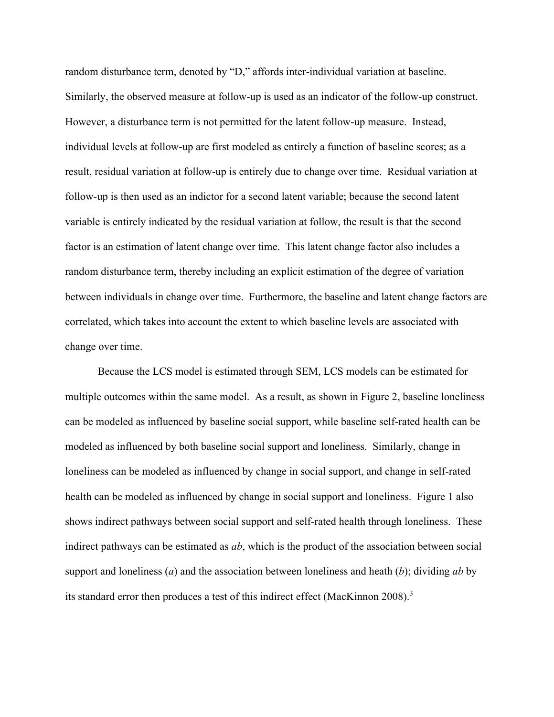random disturbance term, denoted by "D," affords inter-individual variation at baseline. Similarly, the observed measure at follow-up is used as an indicator of the follow-up construct. However, a disturbance term is not permitted for the latent follow-up measure. Instead, individual levels at follow-up are first modeled as entirely a function of baseline scores; as a result, residual variation at follow-up is entirely due to change over time. Residual variation at follow-up is then used as an indictor for a second latent variable; because the second latent variable is entirely indicated by the residual variation at follow, the result is that the second factor is an estimation of latent change over time. This latent change factor also includes a random disturbance term, thereby including an explicit estimation of the degree of variation between individuals in change over time. Furthermore, the baseline and latent change factors are correlated, which takes into account the extent to which baseline levels are associated with change over time.

 Because the LCS model is estimated through SEM, LCS models can be estimated for multiple outcomes within the same model. As a result, as shown in Figure 2, baseline loneliness can be modeled as influenced by baseline social support, while baseline self-rated health can be modeled as influenced by both baseline social support and loneliness. Similarly, change in loneliness can be modeled as influenced by change in social support, and change in self-rated health can be modeled as influenced by change in social support and loneliness. Figure 1 also shows indirect pathways between social support and self-rated health through loneliness. These indirect pathways can be estimated as *ab*, which is the product of the association between social support and loneliness (*a*) and the association between loneliness and heath (*b*); dividing *ab* by its standard error then produces a test of this indirect effect (MacKinnon 2008).<sup>3</sup>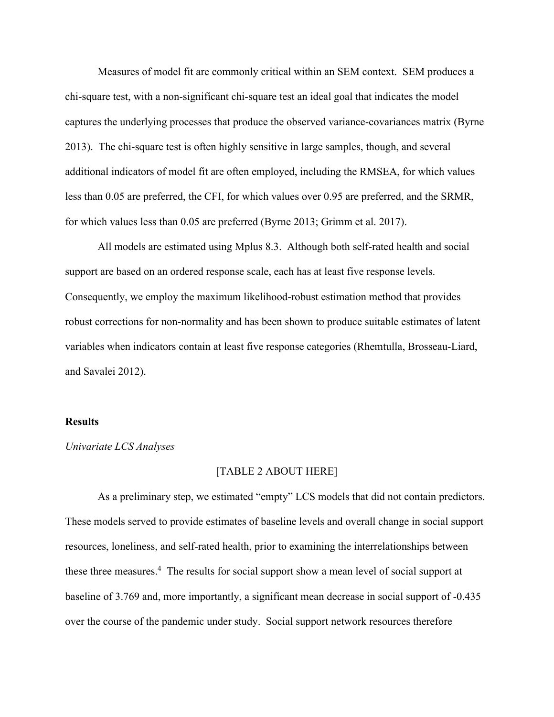Measures of model fit are commonly critical within an SEM context. SEM produces a chi-square test, with a non-significant chi-square test an ideal goal that indicates the model captures the underlying processes that produce the observed variance-covariances matrix (Byrne 2013). The chi-square test is often highly sensitive in large samples, though, and several additional indicators of model fit are often employed, including the RMSEA, for which values less than 0.05 are preferred, the CFI, for which values over 0.95 are preferred, and the SRMR, for which values less than 0.05 are preferred (Byrne 2013; Grimm et al. 2017).

 All models are estimated using Mplus 8.3. Although both self-rated health and social support are based on an ordered response scale, each has at least five response levels. Consequently, we employ the maximum likelihood-robust estimation method that provides robust corrections for non-normality and has been shown to produce suitable estimates of latent variables when indicators contain at least five response categories (Rhemtulla, Brosseau-Liard, and Savalei 2012).

# **Results**

#### *Univariate LCS Analyses*

#### [TABLE 2 ABOUT HERE]

 As a preliminary step, we estimated "empty" LCS models that did not contain predictors. These models served to provide estimates of baseline levels and overall change in social support resources, loneliness, and self-rated health, prior to examining the interrelationships between these three measures.<sup>4</sup> The results for social support show a mean level of social support at baseline of 3.769 and, more importantly, a significant mean decrease in social support of -0.435 over the course of the pandemic under study. Social support network resources therefore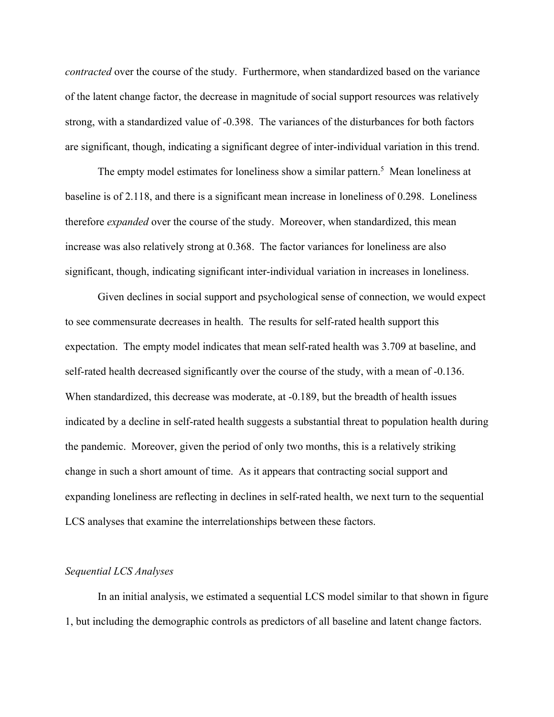*contracted* over the course of the study. Furthermore, when standardized based on the variance of the latent change factor, the decrease in magnitude of social support resources was relatively strong, with a standardized value of -0.398. The variances of the disturbances for both factors are significant, though, indicating a significant degree of inter-individual variation in this trend.

The empty model estimates for loneliness show a similar pattern.<sup>5</sup> Mean loneliness at baseline is of 2.118, and there is a significant mean increase in loneliness of 0.298. Loneliness therefore *expanded* over the course of the study. Moreover, when standardized, this mean increase was also relatively strong at 0.368. The factor variances for loneliness are also significant, though, indicating significant inter-individual variation in increases in loneliness.

 Given declines in social support and psychological sense of connection, we would expect to see commensurate decreases in health. The results for self-rated health support this expectation. The empty model indicates that mean self-rated health was 3.709 at baseline, and self-rated health decreased significantly over the course of the study, with a mean of -0.136. When standardized, this decrease was moderate, at -0.189, but the breadth of health issues indicated by a decline in self-rated health suggests a substantial threat to population health during the pandemic. Moreover, given the period of only two months, this is a relatively striking change in such a short amount of time. As it appears that contracting social support and expanding loneliness are reflecting in declines in self-rated health, we next turn to the sequential LCS analyses that examine the interrelationships between these factors.

#### *Sequential LCS Analyses*

 In an initial analysis, we estimated a sequential LCS model similar to that shown in figure 1, but including the demographic controls as predictors of all baseline and latent change factors.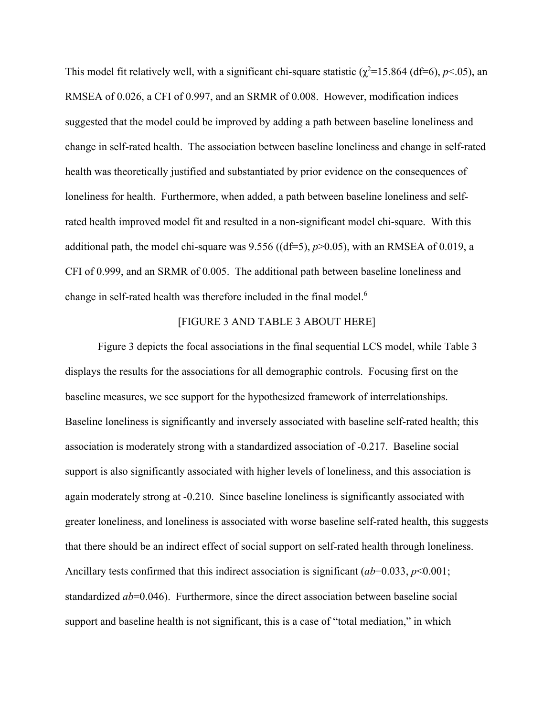This model fit relatively well, with a significant chi-square statistic ( $\chi^2$ =15.864 (df=6), *p*<.05), an RMSEA of 0.026, a CFI of 0.997, and an SRMR of 0.008. However, modification indices suggested that the model could be improved by adding a path between baseline loneliness and change in self-rated health. The association between baseline loneliness and change in self-rated health was theoretically justified and substantiated by prior evidence on the consequences of loneliness for health. Furthermore, when added, a path between baseline loneliness and selfrated health improved model fit and resulted in a non-significant model chi-square. With this additional path, the model chi-square was 9.556 ((df=5), *p*>0.05), with an RMSEA of 0.019, a CFI of 0.999, and an SRMR of 0.005. The additional path between baseline loneliness and change in self-rated health was therefore included in the final model.<sup>6</sup>

# [FIGURE 3 AND TABLE 3 ABOUT HERE]

 Figure 3 depicts the focal associations in the final sequential LCS model, while Table 3 displays the results for the associations for all demographic controls. Focusing first on the baseline measures, we see support for the hypothesized framework of interrelationships. Baseline loneliness is significantly and inversely associated with baseline self-rated health; this association is moderately strong with a standardized association of -0.217. Baseline social support is also significantly associated with higher levels of loneliness, and this association is again moderately strong at -0.210. Since baseline loneliness is significantly associated with greater loneliness, and loneliness is associated with worse baseline self-rated health, this suggests that there should be an indirect effect of social support on self-rated health through loneliness. Ancillary tests confirmed that this indirect association is significant (*ab*=0.033, *p*<0.001; standardized *ab*=0.046). Furthermore, since the direct association between baseline social support and baseline health is not significant, this is a case of "total mediation," in which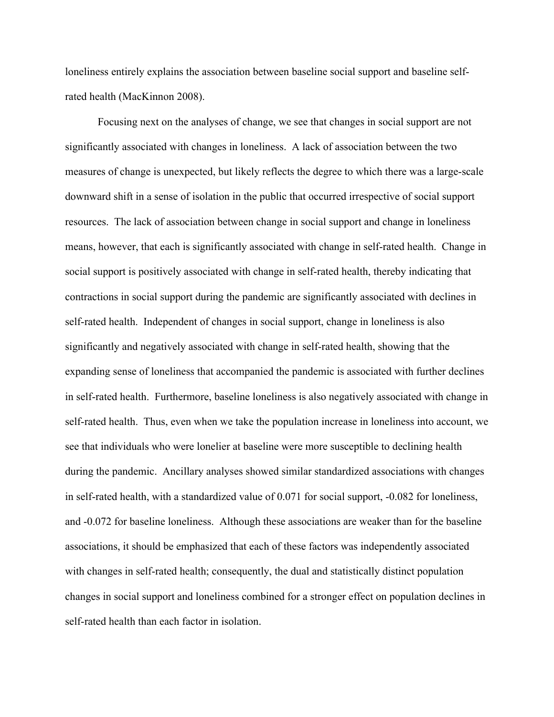loneliness entirely explains the association between baseline social support and baseline selfrated health (MacKinnon 2008).

 Focusing next on the analyses of change, we see that changes in social support are not significantly associated with changes in loneliness. A lack of association between the two measures of change is unexpected, but likely reflects the degree to which there was a large-scale downward shift in a sense of isolation in the public that occurred irrespective of social support resources. The lack of association between change in social support and change in loneliness means, however, that each is significantly associated with change in self-rated health. Change in social support is positively associated with change in self-rated health, thereby indicating that contractions in social support during the pandemic are significantly associated with declines in self-rated health. Independent of changes in social support, change in loneliness is also significantly and negatively associated with change in self-rated health, showing that the expanding sense of loneliness that accompanied the pandemic is associated with further declines in self-rated health. Furthermore, baseline loneliness is also negatively associated with change in self-rated health. Thus, even when we take the population increase in loneliness into account, we see that individuals who were lonelier at baseline were more susceptible to declining health during the pandemic. Ancillary analyses showed similar standardized associations with changes in self-rated health, with a standardized value of 0.071 for social support, -0.082 for loneliness, and -0.072 for baseline loneliness. Although these associations are weaker than for the baseline associations, it should be emphasized that each of these factors was independently associated with changes in self-rated health; consequently, the dual and statistically distinct population changes in social support and loneliness combined for a stronger effect on population declines in self-rated health than each factor in isolation.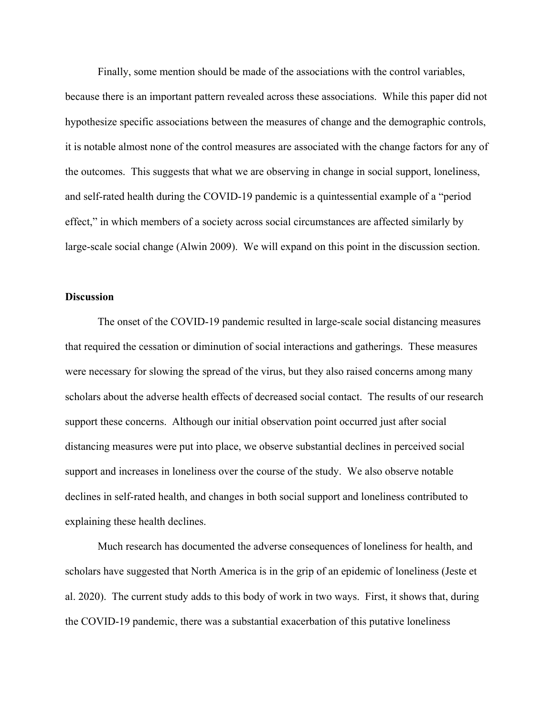Finally, some mention should be made of the associations with the control variables, because there is an important pattern revealed across these associations. While this paper did not hypothesize specific associations between the measures of change and the demographic controls, it is notable almost none of the control measures are associated with the change factors for any of the outcomes. This suggests that what we are observing in change in social support, loneliness, and self-rated health during the COVID-19 pandemic is a quintessential example of a "period effect," in which members of a society across social circumstances are affected similarly by large-scale social change (Alwin 2009). We will expand on this point in the discussion section.

## **Discussion**

 The onset of the COVID-19 pandemic resulted in large-scale social distancing measures that required the cessation or diminution of social interactions and gatherings. These measures were necessary for slowing the spread of the virus, but they also raised concerns among many scholars about the adverse health effects of decreased social contact. The results of our research support these concerns. Although our initial observation point occurred just after social distancing measures were put into place, we observe substantial declines in perceived social support and increases in loneliness over the course of the study. We also observe notable declines in self-rated health, and changes in both social support and loneliness contributed to explaining these health declines.

 Much research has documented the adverse consequences of loneliness for health, and scholars have suggested that North America is in the grip of an epidemic of loneliness (Jeste et al. 2020). The current study adds to this body of work in two ways. First, it shows that, during the COVID-19 pandemic, there was a substantial exacerbation of this putative loneliness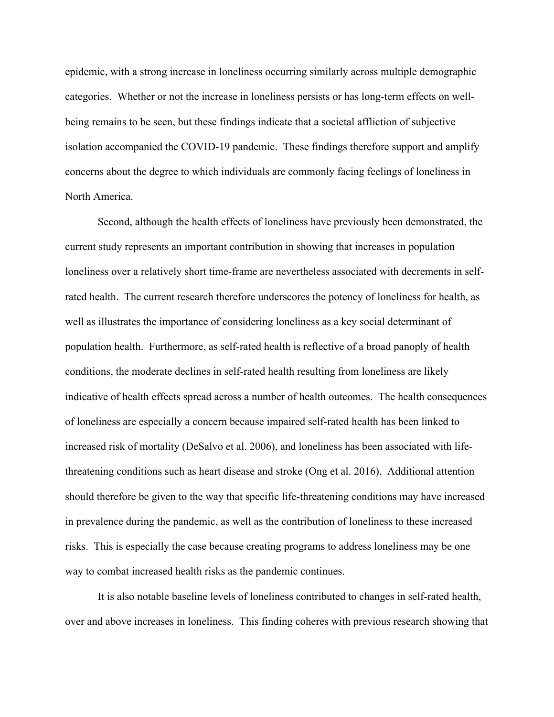epidemic, with a strong increase in loneliness occurring similarly across multiple demographic categories. Whether or not the increase in loneliness persists or has long-term effects on wellbeing remains to be seen, but these findings indicate that a societal affliction of subjective isolation accompanied the COVID-19 pandemic. These findings therefore support and amplify concerns about the degree to which individuals are commonly facing feelings of loneliness in North America.

 Second, although the health effects of loneliness have previously been demonstrated, the current study represents an important contribution in showing that increases in population loneliness over a relatively short time-frame are nevertheless associated with decrements in selfrated health. The current research therefore underscores the potency of loneliness for health, as well as illustrates the importance of considering loneliness as a key social determinant of population health. Furthermore, as self-rated health is reflective of a broad panoply of health conditions, the moderate declines in self-rated health resulting from loneliness are likely indicative of health effects spread across a number of health outcomes. The health consequences of loneliness are especially a concern because impaired self-rated health has been linked to increased risk of mortality (DeSalvo et al. 2006), and loneliness has been associated with lifethreatening conditions such as heart disease and stroke (Ong et al. 2016). Additional attention should therefore be given to the way that specific life-threatening conditions may have increased in prevalence during the pandemic, as well as the contribution of loneliness to these increased risks. This is especially the case because creating programs to address loneliness may be one way to combat increased health risks as the pandemic continues.

 It is also notable baseline levels of loneliness contributed to changes in self-rated health, over and above increases in loneliness. This finding coheres with previous research showing that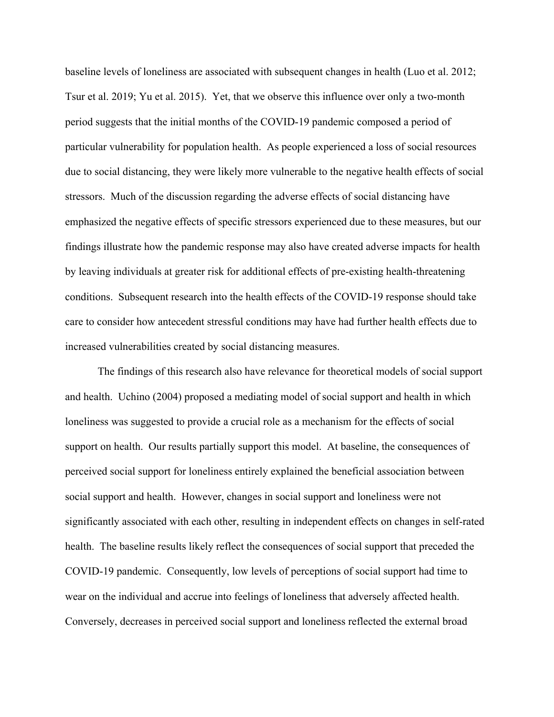baseline levels of loneliness are associated with subsequent changes in health (Luo et al. 2012; Tsur et al. 2019; Yu et al. 2015). Yet, that we observe this influence over only a two-month period suggests that the initial months of the COVID-19 pandemic composed a period of particular vulnerability for population health. As people experienced a loss of social resources due to social distancing, they were likely more vulnerable to the negative health effects of social stressors. Much of the discussion regarding the adverse effects of social distancing have emphasized the negative effects of specific stressors experienced due to these measures, but our findings illustrate how the pandemic response may also have created adverse impacts for health by leaving individuals at greater risk for additional effects of pre-existing health-threatening conditions. Subsequent research into the health effects of the COVID-19 response should take care to consider how antecedent stressful conditions may have had further health effects due to increased vulnerabilities created by social distancing measures.

 The findings of this research also have relevance for theoretical models of social support and health. Uchino (2004) proposed a mediating model of social support and health in which loneliness was suggested to provide a crucial role as a mechanism for the effects of social support on health. Our results partially support this model. At baseline, the consequences of perceived social support for loneliness entirely explained the beneficial association between social support and health. However, changes in social support and loneliness were not significantly associated with each other, resulting in independent effects on changes in self-rated health. The baseline results likely reflect the consequences of social support that preceded the COVID-19 pandemic. Consequently, low levels of perceptions of social support had time to wear on the individual and accrue into feelings of loneliness that adversely affected health. Conversely, decreases in perceived social support and loneliness reflected the external broad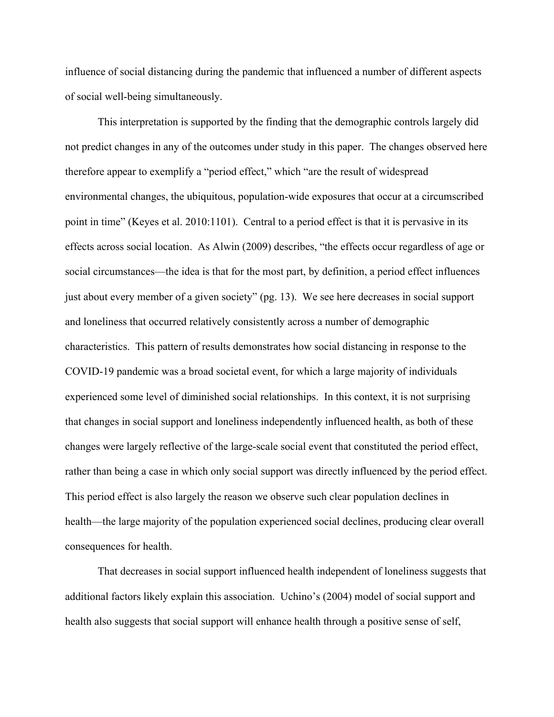influence of social distancing during the pandemic that influenced a number of different aspects of social well-being simultaneously.

 This interpretation is supported by the finding that the demographic controls largely did not predict changes in any of the outcomes under study in this paper. The changes observed here therefore appear to exemplify a "period effect," which "are the result of widespread environmental changes, the ubiquitous, population-wide exposures that occur at a circumscribed point in time" (Keyes et al. 2010:1101). Central to a period effect is that it is pervasive in its effects across social location. As Alwin (2009) describes, "the effects occur regardless of age or social circumstances—the idea is that for the most part, by definition, a period effect influences just about every member of a given society" (pg. 13). We see here decreases in social support and loneliness that occurred relatively consistently across a number of demographic characteristics. This pattern of results demonstrates how social distancing in response to the COVID-19 pandemic was a broad societal event, for which a large majority of individuals experienced some level of diminished social relationships. In this context, it is not surprising that changes in social support and loneliness independently influenced health, as both of these changes were largely reflective of the large-scale social event that constituted the period effect, rather than being a case in which only social support was directly influenced by the period effect. This period effect is also largely the reason we observe such clear population declines in health—the large majority of the population experienced social declines, producing clear overall consequences for health.

 That decreases in social support influenced health independent of loneliness suggests that additional factors likely explain this association. Uchino's (2004) model of social support and health also suggests that social support will enhance health through a positive sense of self,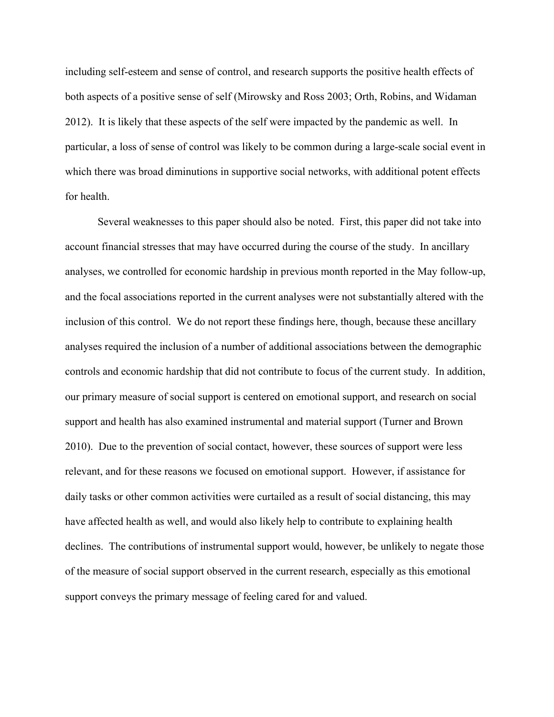including self-esteem and sense of control, and research supports the positive health effects of both aspects of a positive sense of self (Mirowsky and Ross 2003; Orth, Robins, and Widaman 2012). It is likely that these aspects of the self were impacted by the pandemic as well. In particular, a loss of sense of control was likely to be common during a large-scale social event in which there was broad diminutions in supportive social networks, with additional potent effects for health.

 Several weaknesses to this paper should also be noted. First, this paper did not take into account financial stresses that may have occurred during the course of the study. In ancillary analyses, we controlled for economic hardship in previous month reported in the May follow-up, and the focal associations reported in the current analyses were not substantially altered with the inclusion of this control. We do not report these findings here, though, because these ancillary analyses required the inclusion of a number of additional associations between the demographic controls and economic hardship that did not contribute to focus of the current study. In addition, our primary measure of social support is centered on emotional support, and research on social support and health has also examined instrumental and material support (Turner and Brown 2010). Due to the prevention of social contact, however, these sources of support were less relevant, and for these reasons we focused on emotional support. However, if assistance for daily tasks or other common activities were curtailed as a result of social distancing, this may have affected health as well, and would also likely help to contribute to explaining health declines. The contributions of instrumental support would, however, be unlikely to negate those of the measure of social support observed in the current research, especially as this emotional support conveys the primary message of feeling cared for and valued.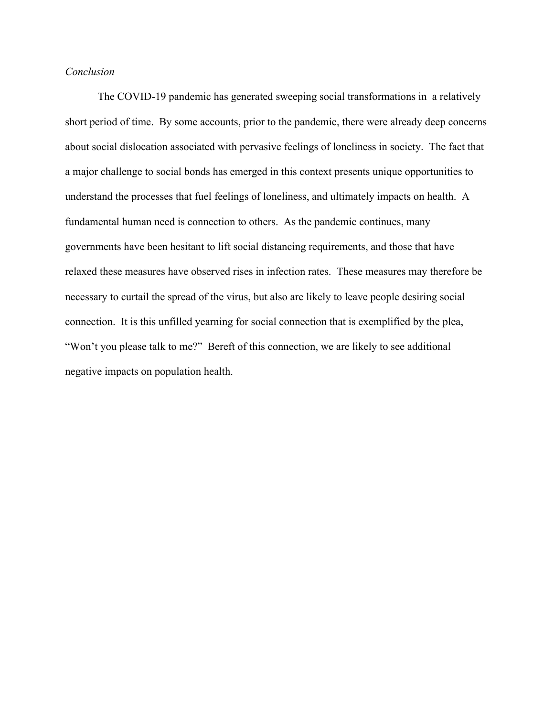# *Conclusion*

 The COVID-19 pandemic has generated sweeping social transformations in a relatively short period of time. By some accounts, prior to the pandemic, there were already deep concerns about social dislocation associated with pervasive feelings of loneliness in society. The fact that a major challenge to social bonds has emerged in this context presents unique opportunities to understand the processes that fuel feelings of loneliness, and ultimately impacts on health. A fundamental human need is connection to others. As the pandemic continues, many governments have been hesitant to lift social distancing requirements, and those that have relaxed these measures have observed rises in infection rates. These measures may therefore be necessary to curtail the spread of the virus, but also are likely to leave people desiring social connection. It is this unfilled yearning for social connection that is exemplified by the plea, "Won't you please talk to me?" Bereft of this connection, we are likely to see additional negative impacts on population health.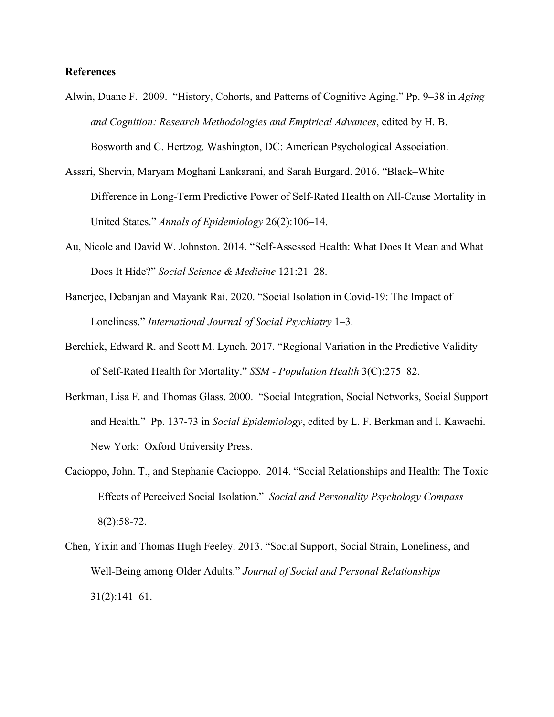# **References**

- Alwin, Duane F. 2009. "History, Cohorts, and Patterns of Cognitive Aging." Pp. 9–38 in *Aging and Cognition: Research Methodologies and Empirical Advances*, edited by H. B. Bosworth and C. Hertzog. Washington, DC: American Psychological Association.
- Assari, Shervin, Maryam Moghani Lankarani, and Sarah Burgard. 2016. "Black–White Difference in Long-Term Predictive Power of Self-Rated Health on All-Cause Mortality in United States." *Annals of Epidemiology* 26(2):106–14.
- Au, Nicole and David W. Johnston. 2014. "Self-Assessed Health: What Does It Mean and What Does It Hide?" *Social Science & Medicine* 121:21–28.
- Banerjee, Debanjan and Mayank Rai. 2020. "Social Isolation in Covid-19: The Impact of Loneliness." *International Journal of Social Psychiatry* 1–3.
- Berchick, Edward R. and Scott M. Lynch. 2017. "Regional Variation in the Predictive Validity of Self-Rated Health for Mortality." *SSM - Population Health* 3(C):275–82.
- Berkman, Lisa F. and Thomas Glass. 2000. "Social Integration, Social Networks, Social Support and Health." Pp. 137-73 in *Social Epidemiology*, edited by L. F. Berkman and I. Kawachi. New York: Oxford University Press.
- Cacioppo, John. T., and Stephanie Cacioppo. 2014. "Social Relationships and Health: The Toxic Effects of Perceived Social Isolation." *Social and Personality Psychology Compass*  8(2):58-72.
- Chen, Yixin and Thomas Hugh Feeley. 2013. "Social Support, Social Strain, Loneliness, and Well-Being among Older Adults." *Journal of Social and Personal Relationships* 31(2):141–61.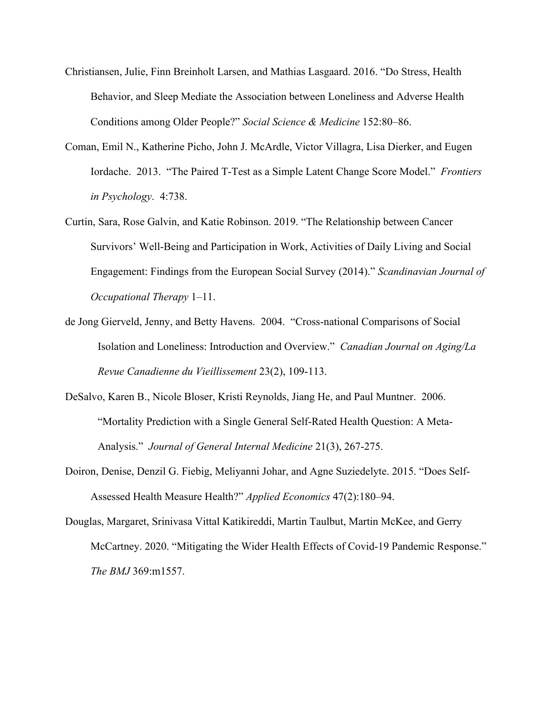- Christiansen, Julie, Finn Breinholt Larsen, and Mathias Lasgaard. 2016. "Do Stress, Health Behavior, and Sleep Mediate the Association between Loneliness and Adverse Health Conditions among Older People?" *Social Science & Medicine* 152:80–86.
- Coman, Emil N., Katherine Picho, John J. McArdle, Victor Villagra, Lisa Dierker, and Eugen Iordache. 2013. "The Paired T-Test as a Simple Latent Change Score Model." *Frontiers in Psychology*. 4:738.
- Curtin, Sara, Rose Galvin, and Katie Robinson. 2019. "The Relationship between Cancer Survivors' Well-Being and Participation in Work, Activities of Daily Living and Social Engagement: Findings from the European Social Survey (2014)." *Scandinavian Journal of Occupational Therapy* 1–11.
- de Jong Gierveld, Jenny, and Betty Havens. 2004. "Cross-national Comparisons of Social Isolation and Loneliness: Introduction and Overview." *Canadian Journal on Aging/La Revue Canadienne du Vieillissement* 23(2), 109-113.
- DeSalvo, Karen B., Nicole Bloser, Kristi Reynolds, Jiang He, and Paul Muntner. 2006. "Mortality Prediction with a Single General Self‐Rated Health Question: A Meta‐ Analysis." *Journal of General Internal Medicine* 21(3), 267-275.
- Doiron, Denise, Denzil G. Fiebig, Meliyanni Johar, and Agne Suziedelyte. 2015. "Does Self-Assessed Health Measure Health?" *Applied Economics* 47(2):180–94.

Douglas, Margaret, Srinivasa Vittal Katikireddi, Martin Taulbut, Martin McKee, and Gerry McCartney. 2020. "Mitigating the Wider Health Effects of Covid-19 Pandemic Response." *The BMJ* 369:m1557.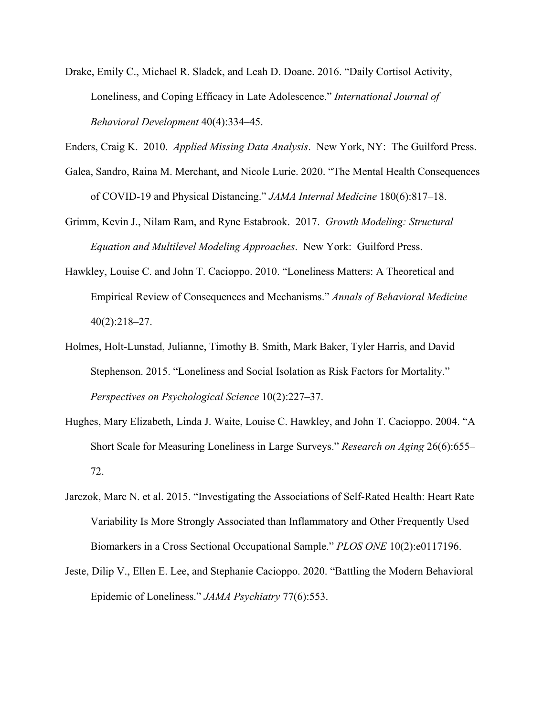Drake, Emily C., Michael R. Sladek, and Leah D. Doane. 2016. "Daily Cortisol Activity, Loneliness, and Coping Efficacy in Late Adolescence." *International Journal of Behavioral Development* 40(4):334–45.

Enders, Craig K. 2010. *Applied Missing Data Analysis*. New York, NY: The Guilford Press.

Galea, Sandro, Raina M. Merchant, and Nicole Lurie. 2020. "The Mental Health Consequences of COVID-19 and Physical Distancing." *JAMA Internal Medicine* 180(6):817–18.

Grimm, Kevin J., Nilam Ram, and Ryne Estabrook. 2017. *Growth Modeling: Structural Equation and Multilevel Modeling Approaches*. New York: Guilford Press.

- Hawkley, Louise C. and John T. Cacioppo. 2010. "Loneliness Matters: A Theoretical and Empirical Review of Consequences and Mechanisms." *Annals of Behavioral Medicine* 40(2):218–27.
- Holmes, Holt-Lunstad, Julianne, Timothy B. Smith, Mark Baker, Tyler Harris, and David Stephenson. 2015. "Loneliness and Social Isolation as Risk Factors for Mortality." *Perspectives on Psychological Science* 10(2):227–37.
- Hughes, Mary Elizabeth, Linda J. Waite, Louise C. Hawkley, and John T. Cacioppo. 2004. "A Short Scale for Measuring Loneliness in Large Surveys." *Research on Aging* 26(6):655– 72.
- Jarczok, Marc N. et al. 2015. "Investigating the Associations of Self-Rated Health: Heart Rate Variability Is More Strongly Associated than Inflammatory and Other Frequently Used Biomarkers in a Cross Sectional Occupational Sample." *PLOS ONE* 10(2):e0117196.
- Jeste, Dilip V., Ellen E. Lee, and Stephanie Cacioppo. 2020. "Battling the Modern Behavioral Epidemic of Loneliness." *JAMA Psychiatry* 77(6):553.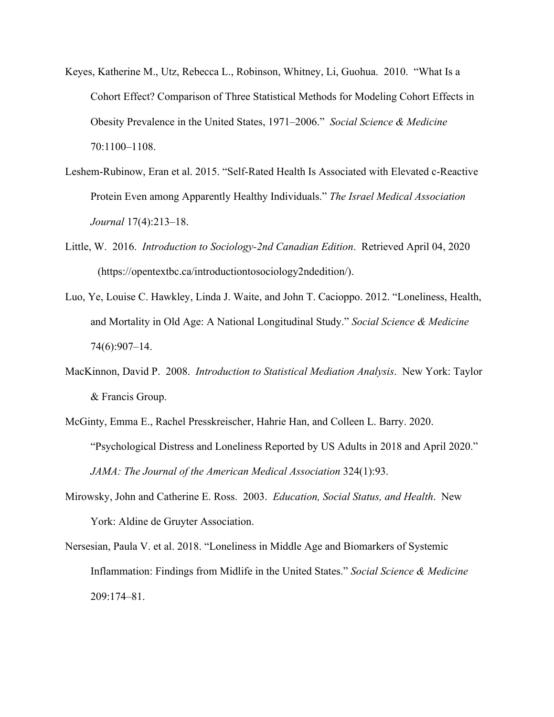- Keyes, Katherine M., Utz, Rebecca L., Robinson, Whitney, Li, Guohua. 2010. "What Is a Cohort Effect? Comparison of Three Statistical Methods for Modeling Cohort Effects in Obesity Prevalence in the United States, 1971–2006." *Social Science & Medicine* 70:1100–1108.
- Leshem-Rubinow, Eran et al. 2015. "Self-Rated Health Is Associated with Elevated c-Reactive Protein Even among Apparently Healthy Individuals." *The Israel Medical Association Journal* 17(4):213–18.
- Little, W. 2016. *Introduction to Sociology-2nd Canadian Edition*. Retrieved April 04, 2020 (https://opentextbc.ca/introductiontosociology2ndedition/).
- Luo, Ye, Louise C. Hawkley, Linda J. Waite, and John T. Cacioppo. 2012. "Loneliness, Health, and Mortality in Old Age: A National Longitudinal Study." *Social Science & Medicine* 74(6):907–14.
- MacKinnon, David P. 2008. *Introduction to Statistical Mediation Analysis*. New York: Taylor & Francis Group.
- McGinty, Emma E., Rachel Presskreischer, Hahrie Han, and Colleen L. Barry. 2020. "Psychological Distress and Loneliness Reported by US Adults in 2018 and April 2020." *JAMA: The Journal of the American Medical Association* 324(1):93.
- Mirowsky, John and Catherine E. Ross. 2003. *Education, Social Status, and Health*. New York: Aldine de Gruyter Association.
- Nersesian, Paula V. et al. 2018. "Loneliness in Middle Age and Biomarkers of Systemic Inflammation: Findings from Midlife in the United States." *Social Science & Medicine* 209:174–81.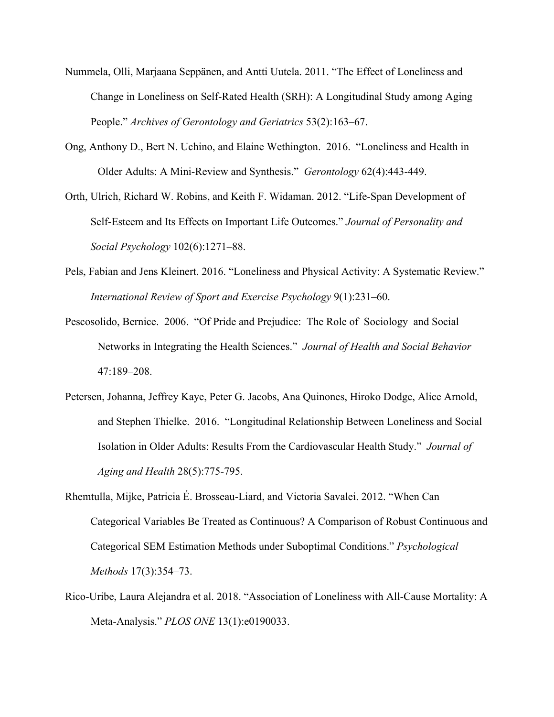- Nummela, Olli, Marjaana Seppänen, and Antti Uutela. 2011. "The Effect of Loneliness and Change in Loneliness on Self-Rated Health (SRH): A Longitudinal Study among Aging People." *Archives of Gerontology and Geriatrics* 53(2):163–67.
- Ong, Anthony D., Bert N. Uchino, and Elaine Wethington. 2016. "Loneliness and Health in Older Adults: A Mini-Review and Synthesis." *Gerontology* 62(4):443-449.
- Orth, Ulrich, Richard W. Robins, and Keith F. Widaman. 2012. "Life-Span Development of Self-Esteem and Its Effects on Important Life Outcomes." *Journal of Personality and Social Psychology* 102(6):1271–88.
- Pels, Fabian and Jens Kleinert. 2016. "Loneliness and Physical Activity: A Systematic Review." *International Review of Sport and Exercise Psychology* 9(1):231–60.
- Pescosolido, Bernice. 2006. "Of Pride and Prejudice: The Role of Sociology and Social Networks in Integrating the Health Sciences." *Journal of Health and Social Behavior* 47:189–208.
- Petersen, Johanna, Jeffrey Kaye, Peter G. Jacobs, Ana Quinones, Hiroko Dodge, Alice Arnold, and Stephen Thielke. 2016. "Longitudinal Relationship Between Loneliness and Social Isolation in Older Adults: Results From the Cardiovascular Health Study." *Journal of Aging and Health* 28(5):775-795.
- Rhemtulla, Mijke, Patricia É. Brosseau-Liard, and Victoria Savalei. 2012. "When Can Categorical Variables Be Treated as Continuous? A Comparison of Robust Continuous and Categorical SEM Estimation Methods under Suboptimal Conditions." *Psychological Methods* 17(3):354–73.
- Rico-Uribe, Laura Alejandra et al. 2018. "Association of Loneliness with All-Cause Mortality: A Meta-Analysis." *PLOS ONE* 13(1):e0190033.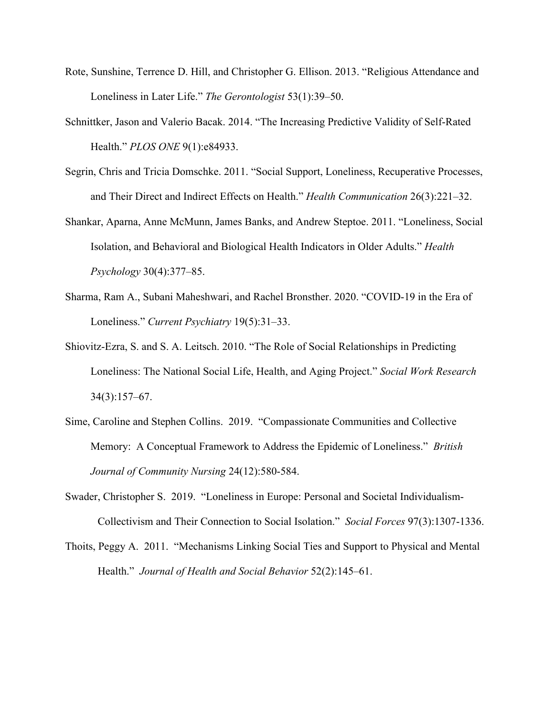- Rote, Sunshine, Terrence D. Hill, and Christopher G. Ellison. 2013. "Religious Attendance and Loneliness in Later Life." *The Gerontologist* 53(1):39–50.
- Schnittker, Jason and Valerio Bacak. 2014. "The Increasing Predictive Validity of Self-Rated Health." *PLOS ONE* 9(1):e84933.
- Segrin, Chris and Tricia Domschke. 2011. "Social Support, Loneliness, Recuperative Processes, and Their Direct and Indirect Effects on Health." *Health Communication* 26(3):221–32.
- Shankar, Aparna, Anne McMunn, James Banks, and Andrew Steptoe. 2011. "Loneliness, Social Isolation, and Behavioral and Biological Health Indicators in Older Adults." *Health Psychology* 30(4):377–85.
- Sharma, Ram A., Subani Maheshwari, and Rachel Bronsther. 2020. "COVID-19 in the Era of Loneliness." *Current Psychiatry* 19(5):31–33.
- Shiovitz-Ezra, S. and S. A. Leitsch. 2010. "The Role of Social Relationships in Predicting Loneliness: The National Social Life, Health, and Aging Project." *Social Work Research* 34(3):157–67.
- Sime, Caroline and Stephen Collins. 2019. "Compassionate Communities and Collective Memory: A Conceptual Framework to Address the Epidemic of Loneliness." *British Journal of Community Nursing* 24(12):580-584.
- Swader, Christopher S. 2019. "Loneliness in Europe: Personal and Societal Individualism-Collectivism and Their Connection to Social Isolation." *Social Forces* 97(3):1307-1336.
- Thoits, Peggy A. 2011. "Mechanisms Linking Social Ties and Support to Physical and Mental Health." *Journal of Health and Social Behavior* 52(2):145–61.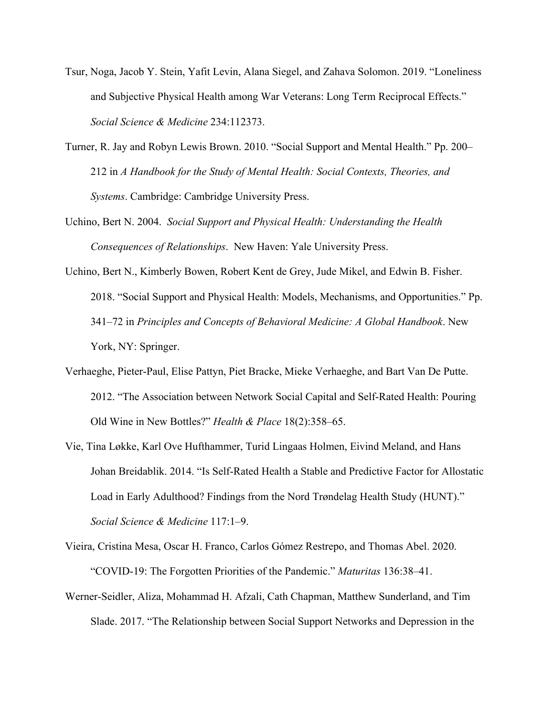- Tsur, Noga, Jacob Y. Stein, Yafit Levin, Alana Siegel, and Zahava Solomon. 2019. "Loneliness and Subjective Physical Health among War Veterans: Long Term Reciprocal Effects." *Social Science & Medicine* 234:112373.
- Turner, R. Jay and Robyn Lewis Brown. 2010. "Social Support and Mental Health." Pp. 200– 212 in *A Handbook for the Study of Mental Health: Social Contexts, Theories, and Systems*. Cambridge: Cambridge University Press.
- Uchino, Bert N. 2004. *Social Support and Physical Health: Understanding the Health Consequences of Relationships*. New Haven: Yale University Press.
- Uchino, Bert N., Kimberly Bowen, Robert Kent de Grey, Jude Mikel, and Edwin B. Fisher. 2018. "Social Support and Physical Health: Models, Mechanisms, and Opportunities." Pp. 341–72 in *Principles and Concepts of Behavioral Medicine: A Global Handbook*. New York, NY: Springer.
- Verhaeghe, Pieter-Paul, Elise Pattyn, Piet Bracke, Mieke Verhaeghe, and Bart Van De Putte. 2012. "The Association between Network Social Capital and Self-Rated Health: Pouring Old Wine in New Bottles?" *Health & Place* 18(2):358–65.
- Vie, Tina Løkke, Karl Ove Hufthammer, Turid Lingaas Holmen, Eivind Meland, and Hans Johan Breidablik. 2014. "Is Self-Rated Health a Stable and Predictive Factor for Allostatic Load in Early Adulthood? Findings from the Nord Trøndelag Health Study (HUNT)." *Social Science & Medicine* 117:1–9.
- Vieira, Cristina Mesa, Oscar H. Franco, Carlos Gómez Restrepo, and Thomas Abel. 2020. "COVID-19: The Forgotten Priorities of the Pandemic." *Maturitas* 136:38–41.
- Werner-Seidler, Aliza, Mohammad H. Afzali, Cath Chapman, Matthew Sunderland, and Tim Slade. 2017. "The Relationship between Social Support Networks and Depression in the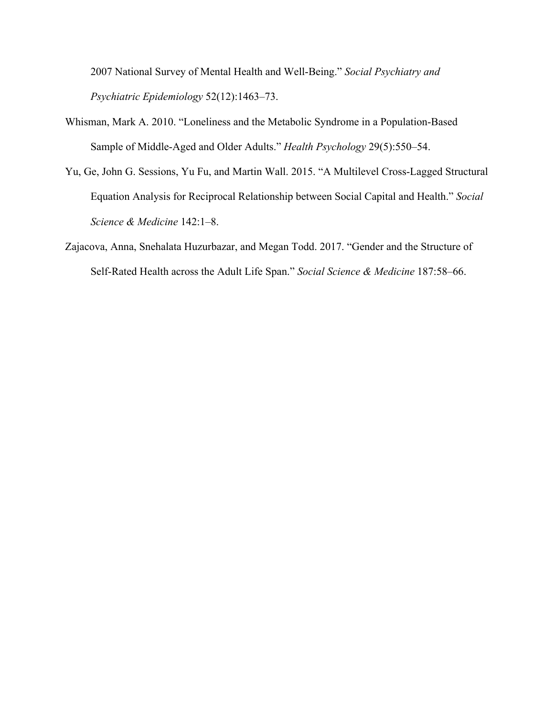2007 National Survey of Mental Health and Well-Being." *Social Psychiatry and Psychiatric Epidemiology* 52(12):1463–73.

- Whisman, Mark A. 2010. "Loneliness and the Metabolic Syndrome in a Population-Based Sample of Middle-Aged and Older Adults." *Health Psychology* 29(5):550–54.
- Yu, Ge, John G. Sessions, Yu Fu, and Martin Wall. 2015. "A Multilevel Cross-Lagged Structural Equation Analysis for Reciprocal Relationship between Social Capital and Health." *Social Science & Medicine* 142:1–8.
- Zajacova, Anna, Snehalata Huzurbazar, and Megan Todd. 2017. "Gender and the Structure of Self-Rated Health across the Adult Life Span." *Social Science & Medicine* 187:58–66.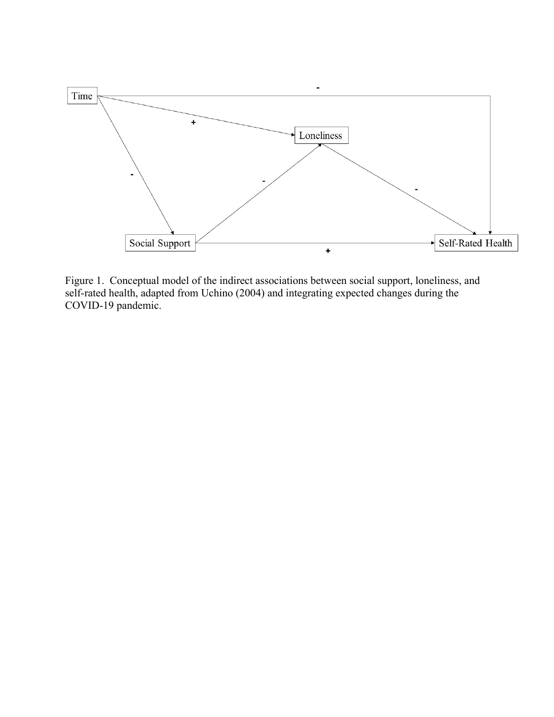

Figure 1. Conceptual model of the indirect associations between social support, loneliness, and self-rated health, adapted from Uchino (2004) and integrating expected changes during the COVID-19 pandemic.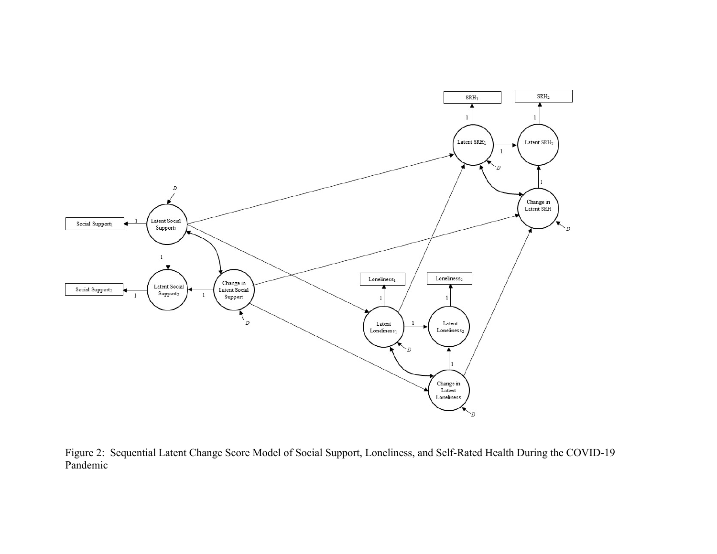

Figure 2: Sequential Latent Change Score Model of Social Support, Loneliness, and Self-Rated Health During the COVID-19 Pandemic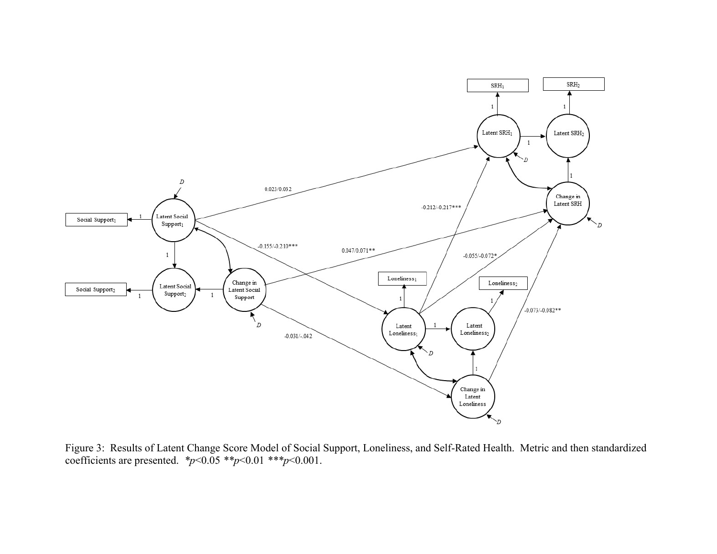

Figure 3: Results of Latent Change Score Model of Social Support, Loneliness, and Self-Rated Health. Metric and then standardized coefficients are presented. *\*p*<0.05 *\*\*p*<0.01 *\*\*\*p*<0.001.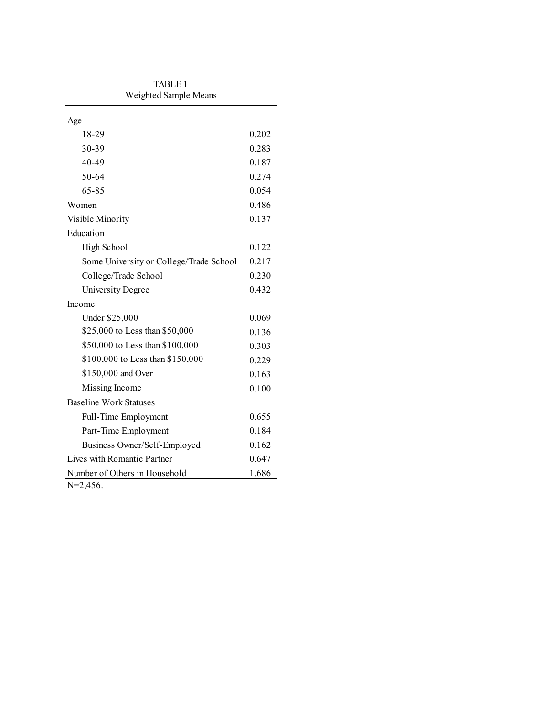| 0.202 |  |  |  |
|-------|--|--|--|
| 0.283 |  |  |  |
| 0.187 |  |  |  |
| 0.274 |  |  |  |
| 0.054 |  |  |  |
| 0.486 |  |  |  |
| 0.137 |  |  |  |
|       |  |  |  |
| 0.122 |  |  |  |
| 0.217 |  |  |  |
| 0.230 |  |  |  |
| 0.432 |  |  |  |
|       |  |  |  |
| 0.069 |  |  |  |
| 0.136 |  |  |  |
| 0.303 |  |  |  |
| 0.229 |  |  |  |
| 0.163 |  |  |  |
| 0.100 |  |  |  |
|       |  |  |  |
| 0.655 |  |  |  |
| 0.184 |  |  |  |
| 0.162 |  |  |  |
| 0.647 |  |  |  |
| 1.686 |  |  |  |
|       |  |  |  |

TABLE 1 Weighted Sample Means

N=2,456.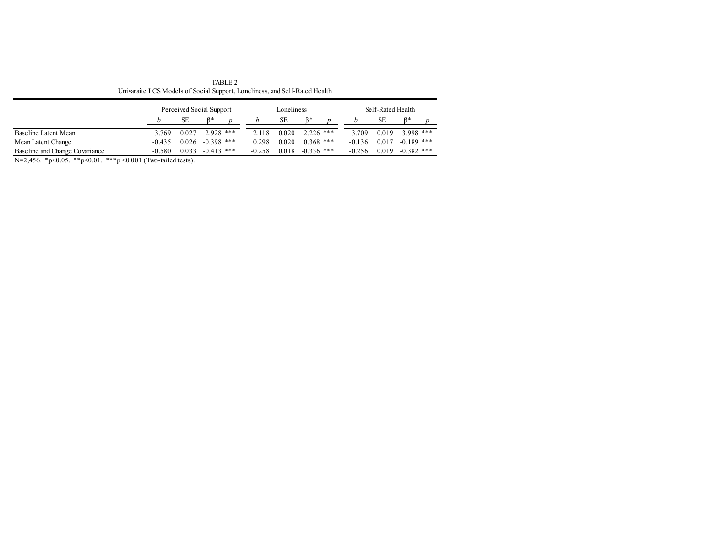TABLE 2 Univaraite LCS Models of Social Support, Loneliness, and Self-Rated Health

|                                |          | Perceived Social Support |              |          | Loneliness |              | Self-Rated Health |          |       |              |  |
|--------------------------------|----------|--------------------------|--------------|----------|------------|--------------|-------------------|----------|-------|--------------|--|
|                                |          | SЕ                       | R*           |          | SЕ         |              |                   |          | SЕ    |              |  |
| Baseline Latent Mean           | 3.769    | 0.027                    | $2.928$ ***  | 2.118    | 0.020      | $2.226$ ***  |                   | 3.709    | 0.019 | $3.998$ ***  |  |
| Mean Latent Change             | $-0.435$ | 0.026                    | $-0.398$ *** | 0.298    | 0.020      | $0.368$ ***  |                   | $-0.136$ | 0.017 | $-0.189$ *** |  |
| Baseline and Change Covariance | $-0.580$ | 0.033                    | $-0.413$ *** | $-0.258$ | 0.018      | $-0.336$ *** |                   | $-0.256$ | 0.019 | $-0.382$ *** |  |

N=2,456. \*p<0.05. \*\*p<0.01. \*\*\*p <0.001 (Two-tailed tests).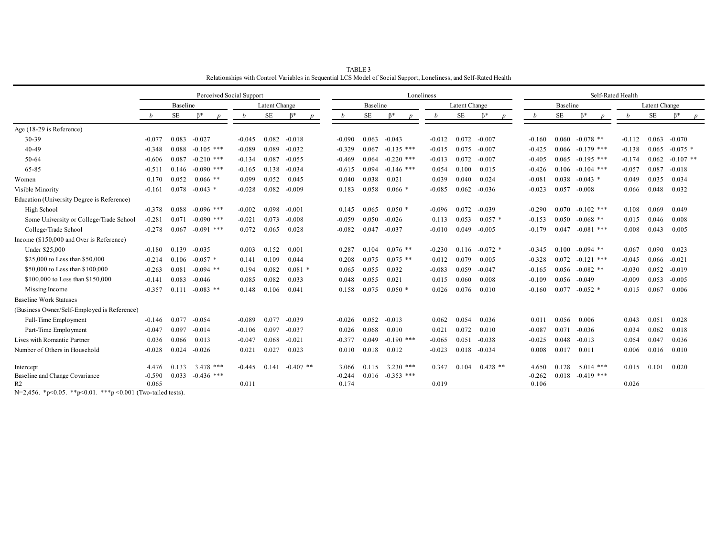|                                             |                 |           |              | Perceived Social Support |               |             |          |           |              | Loneliness |               |            |          | Self-Rated Health |              |          |               |             |  |  |
|---------------------------------------------|-----------------|-----------|--------------|--------------------------|---------------|-------------|----------|-----------|--------------|------------|---------------|------------|----------|-------------------|--------------|----------|---------------|-------------|--|--|
|                                             | <b>Baseline</b> |           |              |                          | Latent Change |             |          | Baseline  |              |            | Latent Change |            |          | <b>Baseline</b>   |              |          | Latent Change |             |  |  |
|                                             |                 | <b>SE</b> |              |                          | SE            |             |          | <b>SE</b> |              |            | <b>SE</b>     |            |          | <b>SE</b>         |              | b        | <b>SE</b>     |             |  |  |
| Age (18-29 is Reference)                    |                 |           |              |                          |               |             |          |           |              |            |               |            |          |                   |              |          |               |             |  |  |
| 30-39                                       | $-0.077$        | 0.083     | $-0.027$     | $-0.045$                 | 0.082         | $-0.018$    | $-0.090$ | 0.063     | $-0.043$     | $-0.012$   | 0.072         | $-0.007$   | $-0.160$ | 0.060             | $-0.078$ **  | $-0.112$ | 0.063         | $-0.070$    |  |  |
| 40-49                                       | $-0.348$        | 0.088     | $-0.105$ *** | $-0.089$                 | 0.089         | $-0.032$    | $-0.329$ | 0.067     | $-0.135$ *** | $-0.015$   | 0.075         | $-0.007$   | $-0.425$ | 0.066             | $-0.179$ *** | $-0.138$ | 0.065         | $-0.075$ *  |  |  |
| 50-64                                       | $-0.606$        | 0.087     | $-0.210$ *** | $-0.134$                 | 0.087         | $-0.055$    | $-0.469$ | 0.064     | $-0.220$ *** | $-0.013$   | 0.072         | $-0.007$   | $-0.405$ | 0.065             | $-0.195$ *** | $-0.174$ | 0.062         | $-0.107$ ** |  |  |
| 65-85                                       | $-0.51$         | 0.146     | $-0.090$ *** | $-0.165$                 | 0.138         | $-0.034$    | $-0.615$ | 0.094     | $-0.146$ *** | 0.054      | 0.100         | 0.015      | $-0.426$ | 0.106             | $-0.104$ *** | $-0.057$ | 0.087         | $-0.018$    |  |  |
| Women                                       | 0.170           | 0.052     | $0.066$ **   | 0.099                    | 0.052         | 0.045       | 0.040    | 0.038     | 0.021        | 0.039      | 0.040         | 0.024      | $-0.081$ | 0.038             | $-0.043$ *   | 0.049    | 0.035         | 0.034       |  |  |
| Visible Minority                            | $-0.161$        | 0.078     | $-0.043$ *   | $-0.028$                 | 0.082         | $-0.009$    | 0.183    | 0.058     | $0.066*$     | $-0.085$   | 0.062         | $-0.036$   | $-0.023$ | 0.057             | $-0.008$     | 0.066    | 0.048         | 0.032       |  |  |
| Education (University Degree is Reference)  |                 |           |              |                          |               |             |          |           |              |            |               |            |          |                   |              |          |               |             |  |  |
| High School                                 | $-0.378$        | 0.088     | $-0.096$ *** | $-0.002$                 | 0.098         | $-0.001$    | 0.145    | 0.065     | $0.050*$     | $-0.096$   | 0.072         | $-0.039$   | $-0.290$ | 0.070             | $-0.102$ *** | 0.108    | 0.069         | 0.049       |  |  |
| Some University or College/Trade School     | $-0.281$        | 0.071     | $-0.090$ *** | $-0.021$                 | 0.073         | $-0.008$    | $-0.059$ | 0.050     | $-0.026$     | 0.113      | 0.053         | $0.057*$   | $-0.153$ | 0.050             | $-0.068$ **  | 0.015    | 0.046         | 0.008       |  |  |
| College/Trade School                        | $-0.278$        | 0.067     | $-0.091$ *** | 0.072                    | 0.065         | 0.028       | $-0.082$ | 0.047     | $-0.037$     | $-0.010$   | 0.049         | $-0.005$   | $-0.179$ | 0.047             | $-0.081$ *** | 0.008    | 0.043         | 0.005       |  |  |
| Income (\$150,000 and Over is Reference)    |                 |           |              |                          |               |             |          |           |              |            |               |            |          |                   |              |          |               |             |  |  |
| Under \$25,000                              | $-0.180$        | 0.139     | $-0.035$     | 0.003                    | 0.152         | 0.001       | 0.287    | 0.104     | $0.076$ **   | $-0.230$   | 0.116         | $-0.072$ * | $-0.345$ | 0.100             | $-0.094$ **  | 0.067    | 0.090         | 0.023       |  |  |
| \$25,000 to Less than \$50,000              | $-0.214$        | 0.106     | $-0.057$ *   | 0.141                    | 0.109         | 0.044       | 0.208    | 0.075     | $0.075$ **   | 0.012      | 0.079         | 0.005      | $-0.328$ | 0.072             | $-0.121$ *** | $-0.045$ | 0.066         | $-0.021$    |  |  |
| \$50,000 to Less than \$100,000             | $-0.263$        | 0.081     | $-0.094$ **  | 0.194                    | 0.082         | $0.081$ *   | 0.065    | 0.055     | 0.032        | $-0.083$   | 0.059         | $-0.047$   | $-0.165$ | 0.056             | $-0.082$ **  | $-0.030$ | 0.052         | $-0.019$    |  |  |
| \$100,000 to Less than \$150,000            | $-0.141$        | 0.083     | $-0.046$     | 0.085                    | 0.082         | 0.033       | 0.048    | 0.055     | 0.021        | 0.015      | 0.060         | 0.008      | $-0.109$ | 0.056             | $-0.049$     | $-0.009$ | 0.053         | $-0.005$    |  |  |
| Missing Income                              | $-0.357$        | 0.111     | $-0.083$ **  | 0.148                    | 0.106         | 0.041       | 0.158    | 0.075     | $0.050*$     | 0.026      | 0.076         | 0.010      | $-0.160$ | 0.077             | $-0.052$ *   | 0.015    | 0.067         | 0.006       |  |  |
| <b>Baseline Work Statuses</b>               |                 |           |              |                          |               |             |          |           |              |            |               |            |          |                   |              |          |               |             |  |  |
| (Business Owner/Self-Employed is Reference) |                 |           |              |                          |               |             |          |           |              |            |               |            |          |                   |              |          |               |             |  |  |
| Full-Time Employment                        | $-0.146$        | 0.077     | $-0.054$     | $-0.089$                 | 0.077         | $-0.039$    | $-0.026$ | 0.052     | $-0.013$     | 0.062      | 0.054         | 0.036      | 0.011    | 0.056             | 0.006        | 0.043    | 0.051         | 0.028       |  |  |
| Part-Time Employment                        | $-0.047$        | 0.097     | $-0.014$     | $-0.106$                 | 0.097         | $-0.037$    | 0.026    | 0.068     | 0.010        | 0.021      | 0.072         | 0.010      | $-0.087$ | 0.071             | $-0.036$     | 0.034    | 0.062         | 0.018       |  |  |
| Lives with Romantic Partner                 | 0.036           | 0.066     | 0.013        | $-0.047$                 | 0.068         | $-0.021$    | $-0.377$ | 0.049     | $-0.190$ *** | $-0.065$   | 0.051         | $-0.038$   | $-0.025$ | 0.048             | $-0.013$     | 0.054    | 0.047         | 0.036       |  |  |
| Number of Others in Household               | $-0.028$        | 0.024     | $-0.026$     | 0.021                    | 0.027         | 0.023       | 0.010    | 0.018     | 0.012        | $-0.023$   | 0.018         | $-0.034$   | 0.008    | 0.017             | 0.011        | 0.006    | 0.016         | 0.010       |  |  |
| Intercept                                   | 4.476           | 0.133     | $3.478$ ***  | $-0.445$                 | 0.141         | $-0.407$ ** | 3.066    | 0.115     | $3.230$ ***  | 0.347      | 0.104         | $0.428$ ** | 4.650    | 0.128             | $5.014$ ***  | 0.015    | 0.101         | 0.020       |  |  |
| Baseline and Change Covariance              | $-0.590$        | 0.033     | $-0.436$ *** |                          |               |             | $-0.244$ | 0.016     | $-0.353$ *** |            |               |            | $-0.262$ | 0.018             | $-0.419$ *** |          |               |             |  |  |
| R2                                          | 0.065           |           |              | 0.011                    |               |             | 0.174    |           |              | 0.019      |               |            | 0.106    |                   |              | 0.026    |               |             |  |  |

TABLE 3 Relationships with Control Variables in Sequential LCS Model of Social Support, Loneliness, and Self-Rated Health

N=2,456. \*p<0.05. \*\*p<0.01. \*\*\*p <0.001 (Two-tailed tests).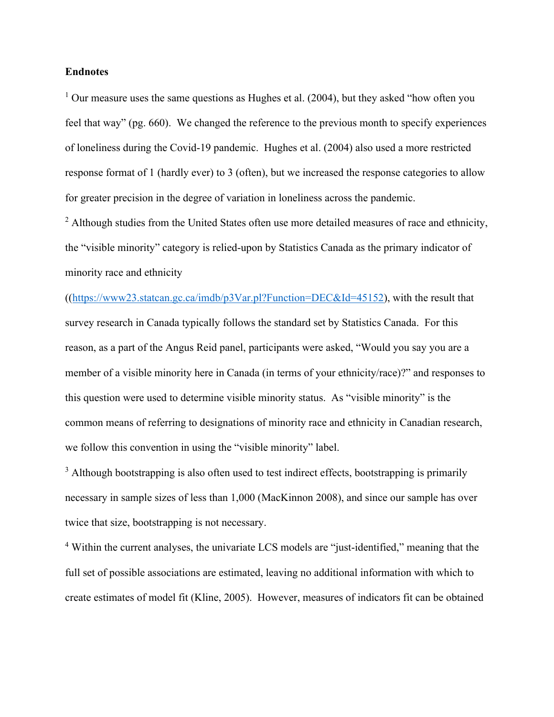## **Endnotes**

<sup>1</sup> Our measure uses the same questions as Hughes et al.  $(2004)$ , but they asked "how often you feel that way" (pg. 660). We changed the reference to the previous month to specify experiences of loneliness during the Covid-19 pandemic. Hughes et al. (2004) also used a more restricted response format of 1 (hardly ever) to 3 (often), but we increased the response categories to allow for greater precision in the degree of variation in loneliness across the pandemic.

 $2$  Although studies from the United States often use more detailed measures of race and ethnicity, the "visible minority" category is relied-upon by Statistics Canada as the primary indicator of minority race and ethnicity

 $(\text{(https://www23.statcan.gc.ca/imdb/p3Var.pl?Function=DEC&Id=45152})$ , with the result that survey research in Canada typically follows the standard set by Statistics Canada. For this reason, as a part of the Angus Reid panel, participants were asked, "Would you say you are a member of a visible minority here in Canada (in terms of your ethnicity/race)?" and responses to this question were used to determine visible minority status. As "visible minority" is the common means of referring to designations of minority race and ethnicity in Canadian research, we follow this convention in using the "visible minority" label.

 $3$  Although bootstrapping is also often used to test indirect effects, bootstrapping is primarily necessary in sample sizes of less than 1,000 (MacKinnon 2008), and since our sample has over twice that size, bootstrapping is not necessary.

<sup>4</sup> Within the current analyses, the univariate LCS models are "just-identified," meaning that the full set of possible associations are estimated, leaving no additional information with which to create estimates of model fit (Kline, 2005). However, measures of indicators fit can be obtained